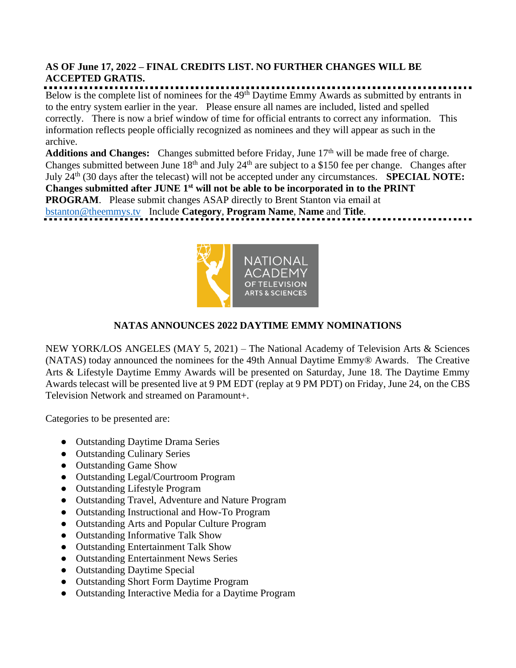### **AS OF June 17, 2022 – FINAL CREDITS LIST. NO FURTHER CHANGES WILL BE ACCEPTED GRATIS.**

Below is the complete list of nominees for the 49<sup>th</sup> Daytime Emmy Awards as submitted by entrants in to the entry system earlier in the year. Please ensure all names are included, listed and spelled correctly. There is now a brief window of time for official entrants to correct any information. This information reflects people officially recognized as nominees and they will appear as such in the archive.

Additions and Changes: Changes submitted before Friday, June 17<sup>th</sup> will be made free of charge. Changes submitted between June 18<sup>th</sup> and July 24<sup>th</sup> are subject to a \$150 fee per change. Changes after July 24th (30 days after the telecast) will not be accepted under any circumstances. **SPECIAL NOTE: Changes submitted after JUNE 1st will not be able to be incorporated in to the PRINT PROGRAM.** Please submit changes ASAP directly to Brent Stanton via email at [bstanton@theemmys.tv](mailto:bstanton@theemmys.tv) Include **Category**, **Program Name**, **Name** and **Title**.



## **NATAS ANNOUNCES 2022 DAYTIME EMMY NOMINATIONS**

NEW YORK/LOS ANGELES (MAY 5, 2021) – The National Academy of Television Arts & Sciences (NATAS) today announced the nominees for the 49th Annual Daytime Emmy® Awards. The Creative Arts & Lifestyle Daytime Emmy Awards will be presented on Saturday, June 18. The Daytime Emmy Awards telecast will be presented live at 9 PM EDT (replay at 9 PM PDT) on Friday, June 24, on the CBS Television Network and streamed on Paramount+.

Categories to be presented are:

- Outstanding Daytime Drama Series
- Outstanding Culinary Series
- Outstanding Game Show
- Outstanding Legal/Courtroom Program
- Outstanding Lifestyle Program
- Outstanding Travel, Adventure and Nature Program
- Outstanding Instructional and How-To Program
- Outstanding Arts and Popular Culture Program
- Outstanding Informative Talk Show
- Outstanding Entertainment Talk Show
- Outstanding Entertainment News Series
- Outstanding Daytime Special
- Outstanding Short Form Daytime Program
- Outstanding Interactive Media for a Daytime Program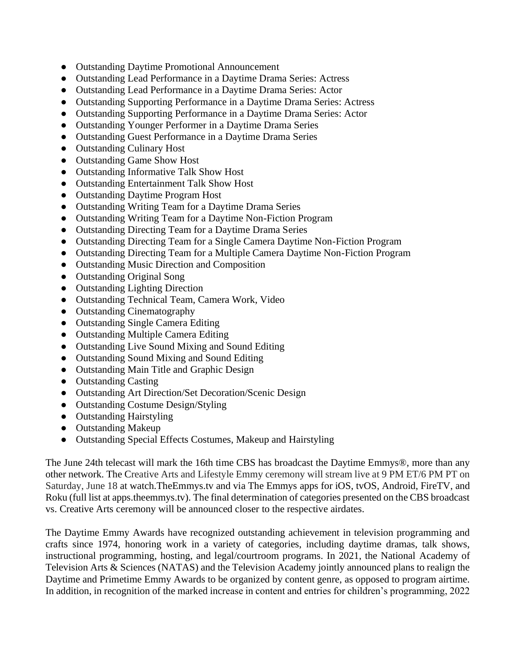- Outstanding Daytime Promotional Announcement
- Outstanding Lead Performance in a Daytime Drama Series: Actress
- Outstanding Lead Performance in a Daytime Drama Series: Actor
- Outstanding Supporting Performance in a Daytime Drama Series: Actress
- Outstanding Supporting Performance in a Daytime Drama Series: Actor
- Outstanding Younger Performer in a Daytime Drama Series
- Outstanding Guest Performance in a Daytime Drama Series
- Outstanding Culinary Host
- Outstanding Game Show Host
- Outstanding Informative Talk Show Host
- Outstanding Entertainment Talk Show Host
- Outstanding Daytime Program Host
- Outstanding Writing Team for a Daytime Drama Series
- Outstanding Writing Team for a Daytime Non-Fiction Program
- Outstanding Directing Team for a Daytime Drama Series
- Outstanding Directing Team for a Single Camera Daytime Non-Fiction Program
- Outstanding Directing Team for a Multiple Camera Daytime Non-Fiction Program
- Outstanding Music Direction and Composition
- Outstanding Original Song
- Outstanding Lighting Direction
- Outstanding Technical Team, Camera Work, Video
- Outstanding Cinematography
- Outstanding Single Camera Editing
- Outstanding Multiple Camera Editing
- Outstanding Live Sound Mixing and Sound Editing
- Outstanding Sound Mixing and Sound Editing
- Outstanding Main Title and Graphic Design
- Outstanding Casting
- Outstanding Art Direction/Set Decoration/Scenic Design
- Outstanding Costume Design/Styling
- Outstanding Hairstyling
- Outstanding Makeup
- Outstanding Special Effects Costumes, Makeup and Hairstyling

The June 24th telecast will mark the 16th time CBS has broadcast the Daytime Emmys®, more than any other network. The Creative Arts and Lifestyle Emmy ceremony will stream live at 9 PM ET/6 PM PT on Saturday, June 18 at watch.TheEmmys.tv and via The Emmys apps for iOS, tvOS, Android, FireTV, and Roku (full list at apps.theemmys.tv). The final determination of categories presented on the CBS broadcast vs. Creative Arts ceremony will be announced closer to the respective airdates.

The Daytime Emmy Awards have recognized outstanding achievement in television programming and crafts since 1974, honoring work in a variety of categories, including daytime dramas, talk shows, instructional programming, hosting, and legal/courtroom programs. In 2021, the National Academy of Television Arts & Sciences (NATAS) and the Television Academy jointly announced plans to realign the Daytime and Primetime Emmy Awards to be organized by content genre, as opposed to program airtime. In addition, in recognition of the marked increase in content and entries for children's programming, 2022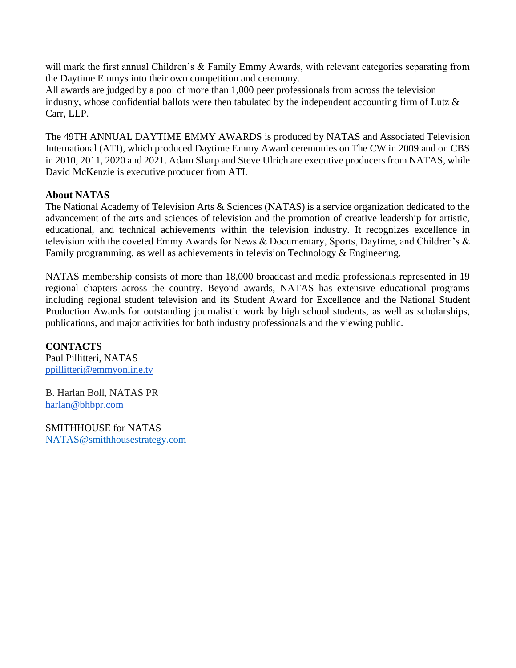will mark the first annual Children's & Family Emmy Awards, with relevant categories separating from the Daytime Emmys into their own competition and ceremony.

All awards are judged by a pool of more than 1,000 peer professionals from across the television industry, whose confidential ballots were then tabulated by the independent accounting firm of Lutz & Carr, LLP.

The 49TH ANNUAL DAYTIME EMMY AWARDS is produced by NATAS and Associated Television International (ATI), which produced Daytime Emmy Award ceremonies on The CW in 2009 and on CBS in 2010, 2011, 2020 and 2021. Adam Sharp and Steve Ulrich are executive producers from NATAS, while David McKenzie is executive producer from ATI.

### **About NATAS**

The National Academy of Television Arts & Sciences (NATAS) is a service organization dedicated to the advancement of the arts and sciences of television and the promotion of creative leadership for artistic, educational, and technical achievements within the television industry. It recognizes excellence in television with the coveted Emmy Awards for News & Documentary, Sports, Daytime, and Children's & Family programming, as well as achievements in television Technology & Engineering.

NATAS membership consists of more than 18,000 broadcast and media professionals represented in 19 regional chapters across the country. Beyond awards, NATAS has extensive educational programs including regional student television and its Student Award for Excellence and the National Student Production Awards for outstanding journalistic work by high school students, as well as scholarships, publications, and major activities for both industry professionals and the viewing public.

**CONTACTS** Paul Pillitteri, NATAS [ppillitteri@emmyonline.tv](mailto:ppillitteri@emmyonline.tv)

B. Harlan Boll, NATAS PR [harlan@bhbpr.com](mailto:harlan@bhbpr.com)

SMITHHOUSE for NATAS [NATAS@smithhousestrategy.com](mailto:NATAS@smithhousestrategy.com)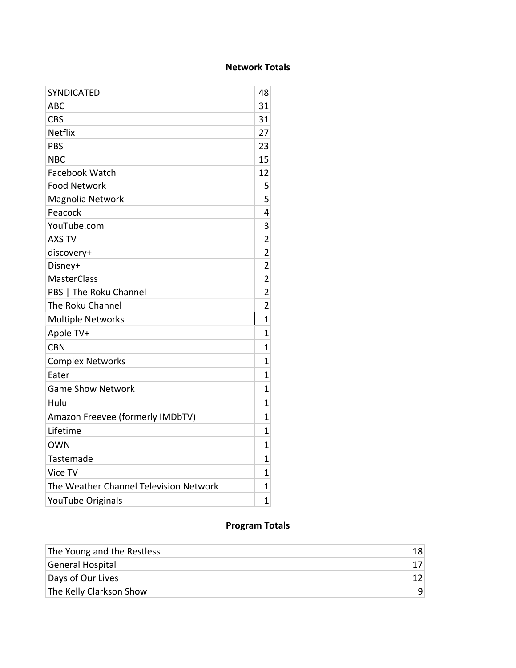## **Network Totals**

| <b>SYNDICATED</b>                      | 48             |
|----------------------------------------|----------------|
| <b>ABC</b>                             | 31             |
| <b>CBS</b>                             | 31             |
| Netflix                                | 27             |
| <b>PBS</b>                             | 23             |
| <b>NBC</b>                             | 15             |
| Facebook Watch                         | 12             |
| <b>Food Network</b>                    | 5              |
| Magnolia Network                       | 5              |
| Peacock                                | 4              |
| YouTube.com                            | 3              |
| <b>AXS TV</b>                          | $\overline{2}$ |
| discovery+                             | $\overline{2}$ |
| Disney+                                | $\overline{2}$ |
| <b>MasterClass</b>                     | $\overline{2}$ |
| PBS   The Roku Channel                 | $\overline{2}$ |
| The Roku Channel                       | 2              |
| <b>Multiple Networks</b>               | $\mathbf{1}$   |
| Apple TV+                              | 1              |
| <b>CBN</b>                             | $\mathbf{1}$   |
| <b>Complex Networks</b>                | 1              |
| Eater                                  | $\mathbf{1}$   |
| <b>Game Show Network</b>               | 1              |
| Hulu                                   | 1              |
| Amazon Freevee (formerly IMDbTV)       | 1              |
| Lifetime                               | 1              |
| <b>OWN</b>                             | 1              |
| Tastemade                              | 1              |
| Vice TV                                | 1              |
| The Weather Channel Television Network | 1              |
| YouTube Originals                      | $\overline{1}$ |
|                                        |                |

## **Program Totals**

| The Young and the Restless |  |
|----------------------------|--|
| General Hospital           |  |
| Days of Our Lives          |  |
| The Kelly Clarkson Show    |  |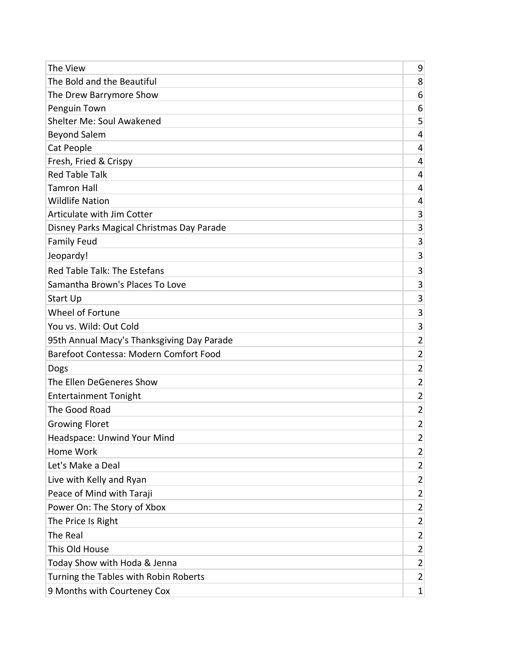| The View                                   | 9              |
|--------------------------------------------|----------------|
| The Bold and the Beautiful                 | 8              |
| The Drew Barrymore Show                    | 6              |
| Penguin Town                               | 6              |
| Shelter Me: Soul Awakened                  | 5              |
| <b>Beyond Salem</b>                        | $\overline{4}$ |
| Cat People                                 | 4              |
| Fresh, Fried & Crispy                      | 4              |
| <b>Red Table Talk</b>                      | 4              |
| <b>Tamron Hall</b>                         | 4              |
| <b>Wildlife Nation</b>                     | 4              |
| Articulate with Jim Cotter                 | 3              |
| Disney Parks Magical Christmas Day Parade  | 3              |
| <b>Family Feud</b>                         | 3              |
| Jeopardy!                                  | 3              |
| Red Table Talk: The Estefans               | 3              |
| Samantha Brown's Places To Love            | 3              |
| Start Up                                   | 3              |
| Wheel of Fortune                           | 3              |
| You vs. Wild: Out Cold                     | 3              |
| 95th Annual Macy's Thanksgiving Day Parade | $\overline{2}$ |
| Barefoot Contessa: Modern Comfort Food     | $\overline{c}$ |
| Dogs                                       | $\overline{2}$ |
| The Ellen DeGeneres Show                   | $\overline{2}$ |
| <b>Entertainment Tonight</b>               | $\overline{2}$ |
| The Good Road                              | $\overline{c}$ |
| <b>Growing Floret</b>                      | $\overline{2}$ |
| Headspace: Unwind Your Mind                | $\overline{2}$ |
| Home Work                                  | $\overline{2}$ |
| Let's Make a Deal                          | $\overline{2}$ |
| Live with Kelly and Ryan                   | $\overline{2}$ |
| Peace of Mind with Taraji                  | $\overline{2}$ |
| Power On: The Story of Xbox                | $\overline{2}$ |
| The Price Is Right                         | $\overline{2}$ |
| The Real                                   | $\overline{2}$ |
| This Old House                             | $\overline{2}$ |
| Today Show with Hoda & Jenna               | $\overline{2}$ |
| Turning the Tables with Robin Roberts      | $\overline{2}$ |
| 9 Months with Courteney Cox                | $\mathbf{1}$   |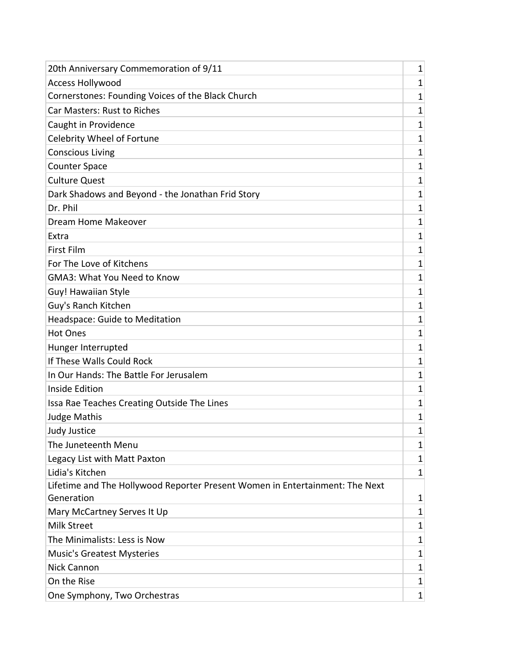| 20th Anniversary Commemoration of 9/11                                       | 1            |
|------------------------------------------------------------------------------|--------------|
| <b>Access Hollywood</b>                                                      | 1            |
| Cornerstones: Founding Voices of the Black Church                            | 1            |
| Car Masters: Rust to Riches                                                  | 1            |
| Caught in Providence                                                         | 1            |
| Celebrity Wheel of Fortune                                                   | 1            |
| <b>Conscious Living</b>                                                      | $\mathbf{1}$ |
| <b>Counter Space</b>                                                         | 1            |
| <b>Culture Quest</b>                                                         | 1            |
| Dark Shadows and Beyond - the Jonathan Frid Story                            | $\mathbf{1}$ |
| Dr. Phil                                                                     | 1            |
| Dream Home Makeover                                                          | $\mathbf 1$  |
| Extra                                                                        | 1            |
| First Film                                                                   | 1            |
| For The Love of Kitchens                                                     | 1            |
| <b>GMA3: What You Need to Know</b>                                           | 1            |
| Guy! Hawaiian Style                                                          | 1            |
| Guy's Ranch Kitchen                                                          | 1            |
| Headspace: Guide to Meditation                                               | 1            |
| <b>Hot Ones</b>                                                              | $\mathbf{1}$ |
| Hunger Interrupted                                                           | 1            |
| If These Walls Could Rock                                                    | 1            |
| In Our Hands: The Battle For Jerusalem                                       | 1            |
| Inside Edition                                                               | $\mathbf{1}$ |
| Issa Rae Teaches Creating Outside The Lines                                  | 1            |
| <b>Judge Mathis</b>                                                          | 1            |
| <b>Judy Justice</b>                                                          | 1            |
| The Juneteenth Menu                                                          | 1            |
| Legacy List with Matt Paxton                                                 | 1            |
| Lidia's Kitchen                                                              | 1            |
| Lifetime and The Hollywood Reporter Present Women in Entertainment: The Next |              |
| Generation                                                                   | 1            |
| Mary McCartney Serves It Up                                                  | $\mathbf 1$  |
| <b>Milk Street</b>                                                           | $\mathbf 1$  |
| The Minimalists: Less is Now                                                 | $\mathbf 1$  |
| <b>Music's Greatest Mysteries</b>                                            | 1            |
| <b>Nick Cannon</b>                                                           | $\mathbf 1$  |
| On the Rise                                                                  | $\mathbf 1$  |
| One Symphony, Two Orchestras                                                 | $\mathbf{1}$ |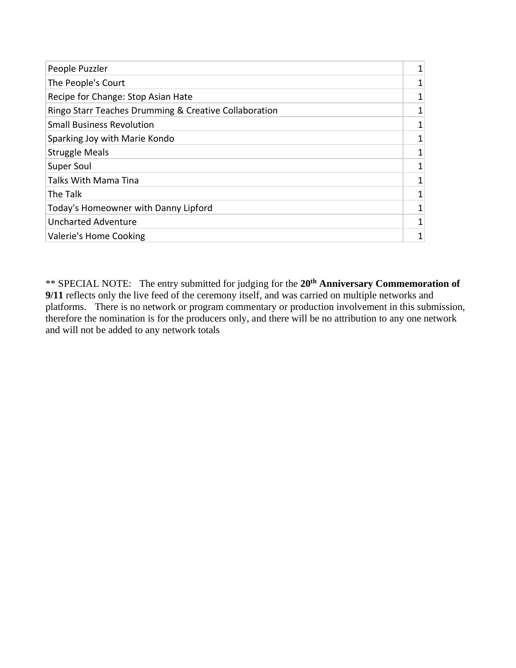| People Puzzler                                        |  |
|-------------------------------------------------------|--|
| The People's Court                                    |  |
| Recipe for Change: Stop Asian Hate                    |  |
| Ringo Starr Teaches Drumming & Creative Collaboration |  |
| <b>Small Business Revolution</b>                      |  |
| Sparking Joy with Marie Kondo                         |  |
| <b>Struggle Meals</b>                                 |  |
| Super Soul                                            |  |
| Talks With Mama Tina                                  |  |
| The Talk                                              |  |
| Today's Homeowner with Danny Lipford                  |  |
| <b>Uncharted Adventure</b>                            |  |
| Valerie's Home Cooking                                |  |

\*\* SPECIAL NOTE: The entry submitted for judging for the **20th Anniversary Commemoration of 9/11** reflects only the live feed of the ceremony itself, and was carried on multiple networks and platforms. There is no network or program commentary or production involvement in this submission, therefore the nomination is for the producers only, and there will be no attribution to any one network and will not be added to any network totals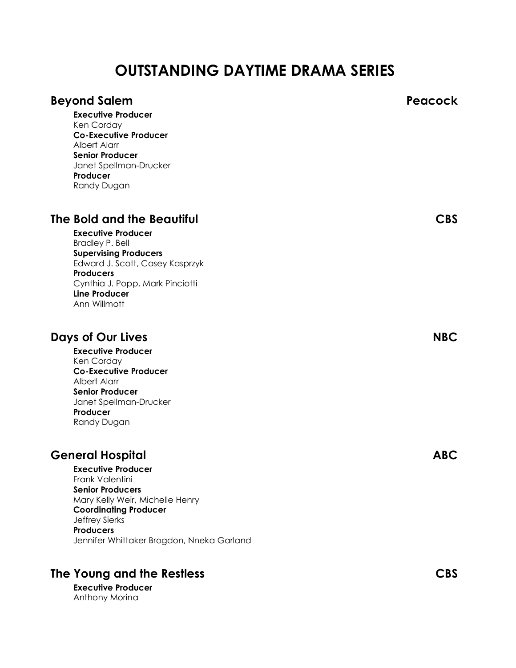# **OUTSTANDING DAYTIME DRAMA SERIES**

| <b>Beyond Salem</b><br><b>Executive Producer</b><br>Ken Corday<br><b>Co-Executive Producer</b><br><b>Albert Alarr</b><br><b>Senior Producer</b><br>Janet Spellman-Drucker<br>Producer<br>Randy Dugan                                                     | Peacock    |
|----------------------------------------------------------------------------------------------------------------------------------------------------------------------------------------------------------------------------------------------------------|------------|
| The Bold and the Beautiful<br><b>Executive Producer</b><br><b>Bradley P. Bell</b><br><b>Supervising Producers</b><br>Edward J. Scott, Casey Kasprzyk<br><b>Producers</b><br>Cynthia J. Popp, Mark Pinciotti<br><b>Line Producer</b><br>Ann Willmott      | <b>CBS</b> |
| Days of Our Lives<br><b>Executive Producer</b><br>Ken Corday<br><b>Co-Executive Producer</b><br>Albert Alarr<br><b>Senior Producer</b><br>Janet Spellman-Drucker<br>Producer<br>Randy Dugan                                                              | <b>NBC</b> |
| <b>General Hospital</b><br><b>Executive Producer</b><br>Frank Valentini<br><b>Senior Producers</b><br>Mary Kelly Weir, Michelle Henry<br><b>Coordinating Producer</b><br>Jeffrey Sierks<br><b>Producers</b><br>Jennifer Whittaker Brogdon, Nneka Garland | <b>ABC</b> |
| The Young and the Restless                                                                                                                                                                                                                               | <b>CBS</b> |

**Executive Producer** Anthony Morina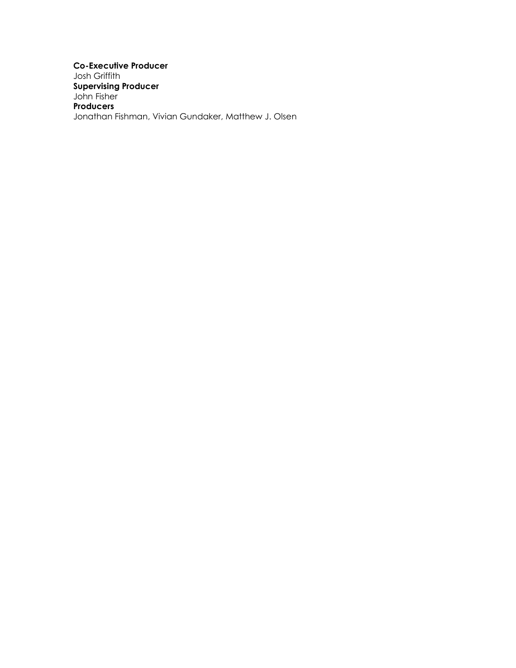**Co-Executive Producer** Josh Griffith **Supervising Producer** John Fisher **Producers** Jonathan Fishman, Vivian Gundaker, Matthew J. Olsen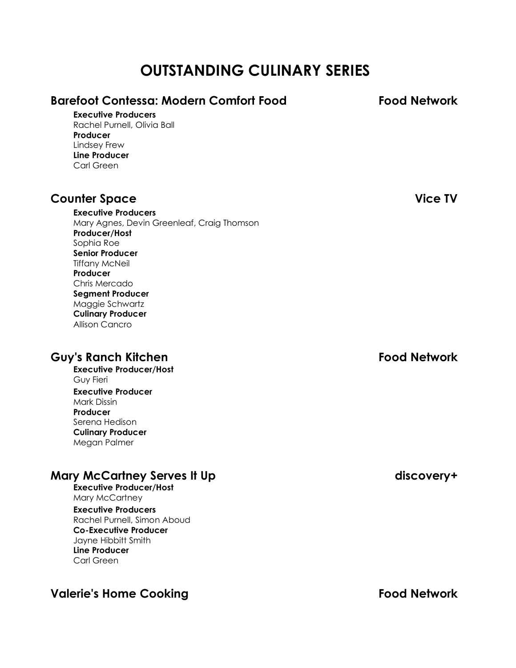# **OUTSTANDING CULINARY SERIES**

| <b>Barefoot Contessa: Modern Comfort Food</b><br><b>Executive Producers</b><br>Rachel Purnell, Olivia Ball<br>Producer<br>Lindsey Frew<br><b>Line Producer</b><br>Carl Green                                                                                                                                       | <b>Food Network</b> |
|--------------------------------------------------------------------------------------------------------------------------------------------------------------------------------------------------------------------------------------------------------------------------------------------------------------------|---------------------|
| <b>Counter Space</b><br><b>Executive Producers</b><br>Mary Agnes, Devin Greenleaf, Craig Thomson<br>Producer/Host<br>Sophia Roe<br><b>Senior Producer</b><br><b>Tiffany McNeil</b><br>Producer<br>Chris Mercado<br><b>Segment Producer</b><br>Maggie Schwartz<br><b>Culinary Producer</b><br><b>Allison Cancro</b> | <b>Vice TV</b>      |
| <b>Guy's Ranch Kitchen</b><br><b>Executive Producer/Host</b><br>Guy Fieri<br><b>Executive Producer</b><br>Mark Dissin<br>Producer<br>Serena Hedison<br><b>Culinary Producer</b><br>Megan Palmer                                                                                                                    | <b>Food Network</b> |
| <b>Mary McCartney Serves It Up</b><br><b>Executive Producer/Host</b><br>Mary McCartney<br><b>Executive Producers</b><br>Rachel Purnell, Simon Aboud<br><b>Co-Executive Producer</b><br>Jayne Hibbitt Smith<br><b>Line Producer</b>                                                                                 | discovery+          |

# **Valerie's Home Cooking Food Network**

Carl Green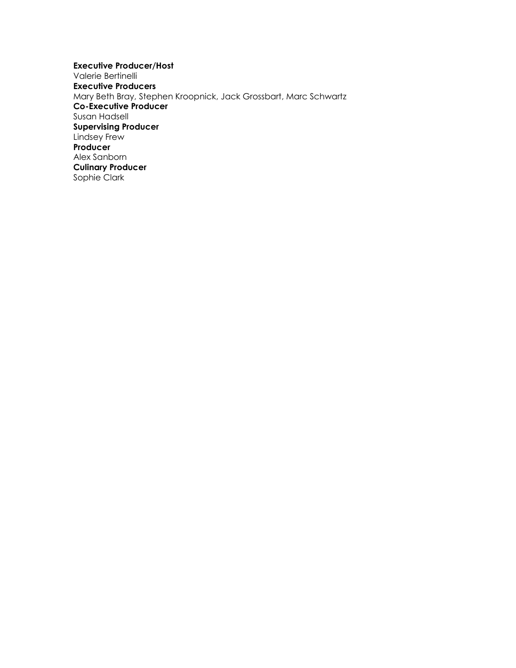**Executive Producer/Host** Valerie Bertinelli **Executive Producers** Mary Beth Bray, Stephen Kroopnick, Jack Grossbart, Marc Schwartz **Co-Executive Producer** Susan Hadsell **Supervising Producer** Lindsey Frew **Producer** Alex Sanborn **Culinary Producer** Sophie Clark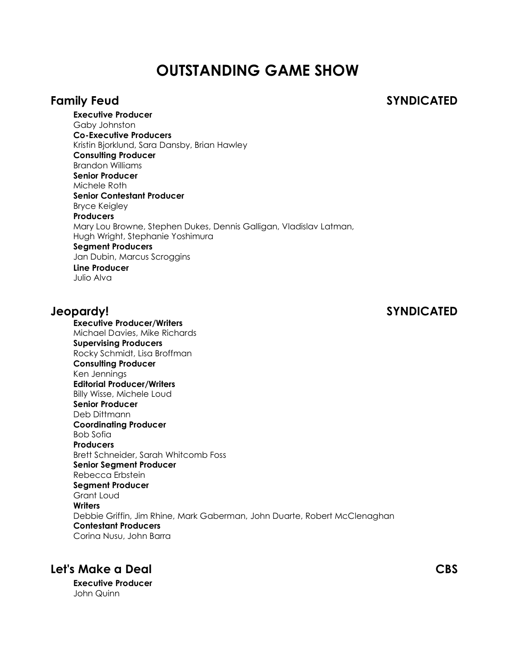# **OUTSTANDING GAME SHOW**

## **Family Feud SYNDICATED**

**Executive Producer** Gaby Johnston **Co-Executive Producers** Kristin Bjorklund, Sara Dansby, Brian Hawley **Consulting Producer** Brandon Williams **Senior Producer** Michele Roth **Senior Contestant Producer** Bryce Keigley **Producers** Mary Lou Browne, Stephen Dukes, Dennis Galligan, Vladislav Latman, Hugh Wright, Stephanie Yoshimura **Segment Producers** Jan Dubin, Marcus Scroggins **Line Producer** Julio Alva

**Executive Producer/Writers**

# **Jeopardy! SYNDICATED**

Michael Davies, Mike Richards **Supervising Producers** Rocky Schmidt, Lisa Broffman **Consulting Producer** Ken Jennings **Editorial Producer/Writers** Billy Wisse, Michele Loud **Senior Producer** Deb Dittmann **Coordinating Producer** Bob Sofia **Producers** Brett Schneider, Sarah Whitcomb Foss **Senior Segment Producer** Rebecca Erbstein **Segment Producer** Grant Loud **Writers** Debbie Griffin, Jim Rhine, Mark Gaberman, John Duarte, Robert McClenaghan **Contestant Producers** Corina Nusu, John Barra

# **Let's Make a Deal CBS**

**Executive Producer** John Quinn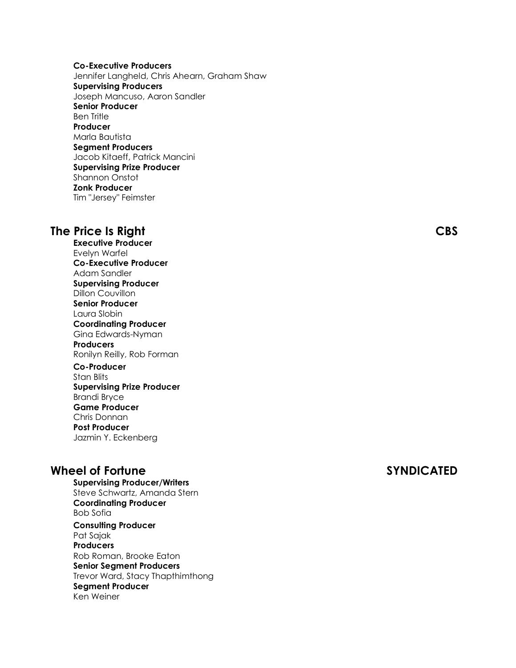**Co-Executive Producers** Jennifer Langheld, Chris Ahearn, Graham Shaw **Supervising Producers** Joseph Mancuso, Aaron Sandler **Senior Producer** Ben Tritle **Producer** Marla Bautista **Segment Producers** Jacob Kitaeff, Patrick Mancini **Supervising Prize Producer** Shannon Onstot **Zonk Producer** Tim "Jersey" Feimster

## **The Price Is Right CBS**

**Executive Producer** Evelyn Warfel **Co-Executive Producer** Adam Sandler **Supervising Producer** Dillon Couvillon **Senior Producer** Laura Slobin **Coordinating Producer** Gina Edwards-Nyman **Producers** Ronilyn Reilly, Rob Forman **Co-Producer** Stan Blits **Supervising Prize Producer** Brandi Bryce

Chris Donnan **Post Producer** Jazmin Y. Eckenberg

**Game Producer**

## **Wheel of Fortune SYNDICATED**

**Supervising Producer/Writers** Steve Schwartz, Amanda Stern **Coordinating Producer** Bob Sofia **Consulting Producer** Pat Sajak **Producers** Rob Roman, Brooke Eaton

**Senior Segment Producers** Trevor Ward, Stacy Thapthimthong **Segment Producer** Ken Weiner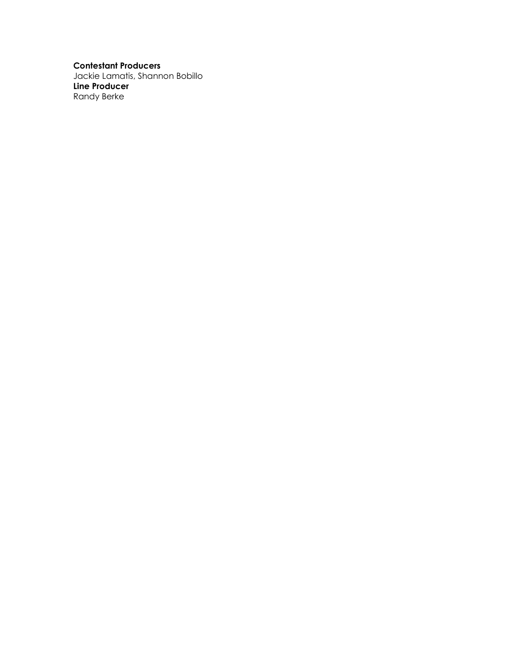**Contestant Producers**

Jackie Lamatis, Shannon Bobillo **Line Producer** Randy Berke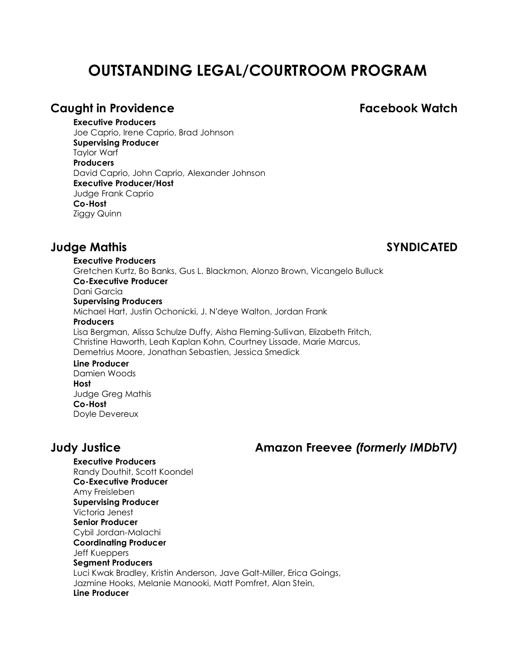# **OUTSTANDING LEGAL/COURTROOM PROGRAM**

## **Caught in Providence Facebook Watch**

### **Executive Producers**

Joe Caprio, Irene Caprio, Brad Johnson **Supervising Producer** Taylor Warf **Producers** David Caprio, John Caprio, Alexander Johnson **Executive Producer/Host** Judge Frank Caprio **Co-Host** Ziggy Quinn

## **Judge Mathis SYNDICATED**

**Executive Producers** Gretchen Kurtz, Bo Banks, Gus L. Blackmon, Alonzo Brown, Vicangelo Bulluck **Co-Executive Producer** Dani Garcia **Supervising Producers** Michael Hart, Justin Ochonicki, J. N'deye Walton, Jordan Frank **Producers** Lisa Bergman, Alissa Schulze Duffy, Aisha Fleming-Sullivan, Elizabeth Fritch, Christine Haworth, Leah Kaplan Kohn, Courtney Lissade, Marie Marcus, Demetrius Moore, Jonathan Sebastien, Jessica Smedick **Line Producer**

Damien Woods **Host** Judge Greg Mathis **Co-Host** Doyle Devereux

# **Judy Justice Amazon Freevee** *(formerly IMDbTV)*

**Executive Producers** Randy Douthit, Scott Koondel **Co-Executive Producer** Amy Freisleben **Supervising Producer** Victoria Jenest **Senior Producer** Cybil Jordan-Malachi **Coordinating Producer** Jeff Kueppers **Segment Producers** Luci Kwak Bradley, Kristin Anderson, Jave Galt-Miller, Erica Goings, Jazmine Hooks, Melanie Manooki, Matt Pomfret, Alan Stein, **Line Producer**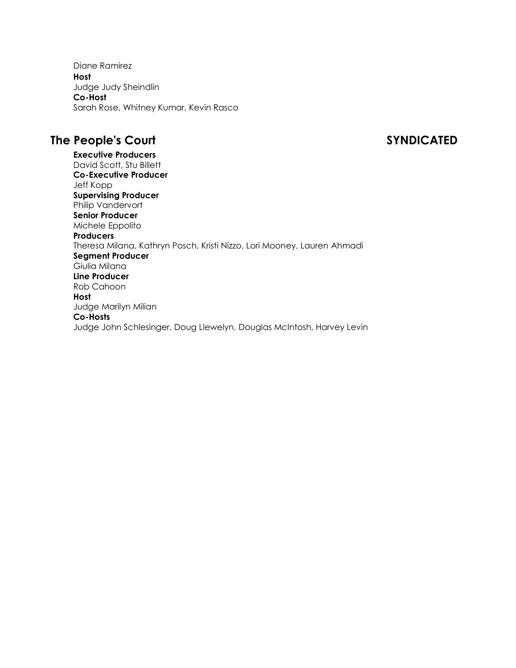Diane Ramirez **Host** Judge Judy Sheindlin **Co-Host** Sarah Rose, Whitney Kumar, Kevin Rasco

# **The People's Court SYNDICATED**

**Executive Producers** David Scott, Stu Billett **Co-Executive Producer** Jeff Kopp **Supervising Producer** Philip Vandervort **Senior Producer** Michele Eppolito **Producers** Theresa Milana, Kathryn Posch, Kristi Nizzo, Lori Mooney, Lauren Ahmadi **Segment Producer** Giulia Milana **Line Producer** Rob Cahoon **Host** Judge Marilyn Milian **Co-Hosts** Judge John Schlesinger, Doug Llewelyn, Douglas McIntosh, Harvey Levin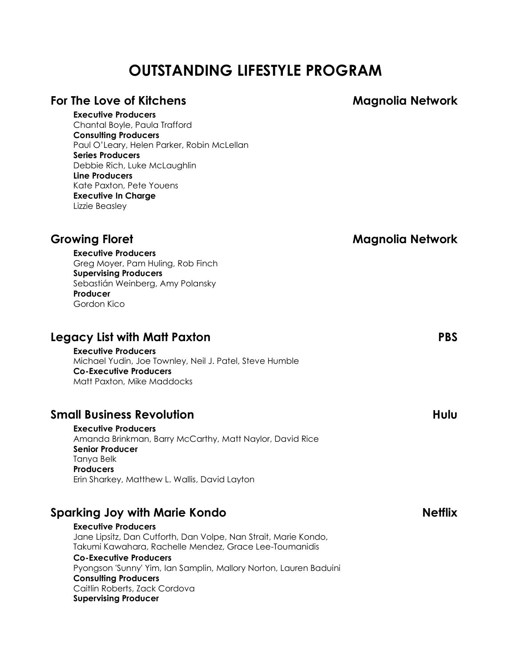# **OUTSTANDING LIFESTYLE PROGRAM**

| For The Love of Kitchens                                                                                                                                                                                                                                                                                                                                                                             | <b>Magnolia Network</b> |
|------------------------------------------------------------------------------------------------------------------------------------------------------------------------------------------------------------------------------------------------------------------------------------------------------------------------------------------------------------------------------------------------------|-------------------------|
| <b>Executive Producers</b><br>Chantal Boyle, Paula Trafford<br><b>Consulting Producers</b><br>Paul O'Leary, Helen Parker, Robin McLellan<br><b>Series Producers</b><br>Debbie Rich, Luke McLaughlin<br><b>Line Producers</b><br>Kate Paxton, Pete Youens<br><b>Executive In Charge</b><br>Lizzie Beasley                                                                                             |                         |
| <b>Growing Floret</b><br><b>Executive Producers</b><br>Greg Moyer, Pam Huling, Rob Finch<br><b>Supervising Producers</b><br>Sebastián Weinberg, Amy Polansky<br>Producer<br>Gordon Kico                                                                                                                                                                                                              | Magnolia Network        |
| Legacy List with Matt Paxton<br><b>Executive Producers</b><br>Michael Yudin, Joe Townley, Neil J. Patel, Steve Humble<br><b>Co-Executive Producers</b><br>Matt Paxton, Mike Maddocks                                                                                                                                                                                                                 | <b>PBS</b>              |
| <b>Small Business Revolution</b><br><b>Executive Producers</b><br>Amanda Brinkman, Barry McCarthy, Matt Naylor, David Rice<br><b>Senior Producer</b><br>Tanya Belk<br><b>Producers</b><br>Erin Sharkey, Matthew L. Wallis, David Layton                                                                                                                                                              | Hulu                    |
| <b>Sparking Joy with Marie Kondo</b><br><b>Executive Producers</b><br>Jane Lipsitz, Dan Cutforth, Dan Volpe, Nan Strait, Marie Kondo,<br>Takumi Kawahara, Rachelle Mendez, Grace Lee-Toumanidis<br><b>Co-Executive Producers</b><br>Pyongson 'Sunny' Yim, Ian Samplin, Mallory Norton, Lauren Baduini<br><b>Consulting Producers</b><br>Caitlin Roberts, Zack Cordova<br><b>Supervising Producer</b> | <b>Netflix</b>          |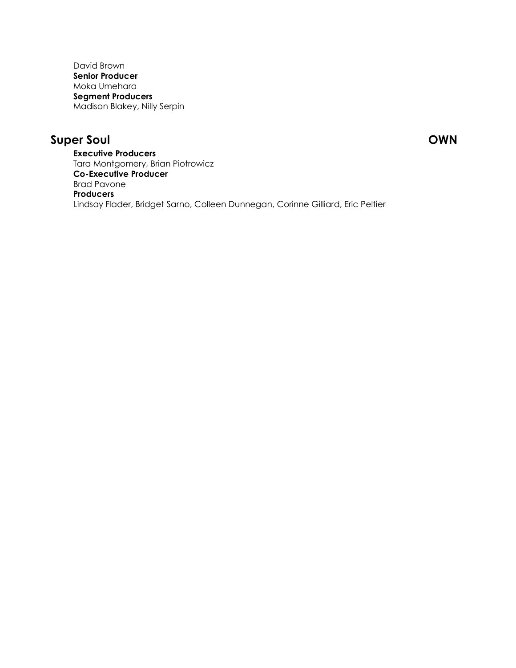David Brown **Senior Producer** Moka Umehara **Segment Producers** Madison Blakey, Nilly Serpin

# **Super Soul OWN**

**Executive Producers** Tara Montgomery, Brian Piotrowicz **Co-Executive Producer** Brad Pavone **Producers** Lindsay Flader, Bridget Sarno, Colleen Dunnegan, Corinne Gilliard, Eric Peltier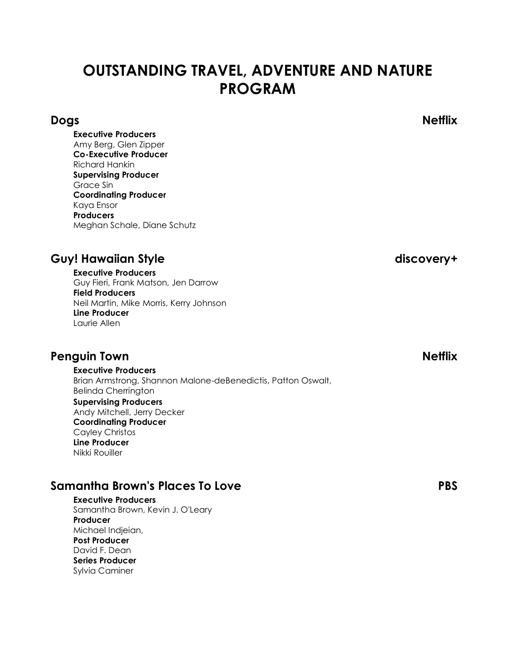# **OUTSTANDING TRAVEL, ADVENTURE AND NATURE PROGRAM**

**Executive Producers** Amy Berg, Glen Zipper **Co-Executive Producer** Richard Hankin **Supervising Producer** Grace Sin **Coordinating Producer** Kaya Ensor **Producers** Meghan Schale, Diane Schutz

# Guy! Hawaiian Style discovery+

**Executive Producers** Guy Fieri, Frank Matson, Jen Darrow **Field Producers** Neil Martin, Mike Morris, Kerry Johnson **Line Producer** Laurie Allen

# **Penguin Town Netflix**

**Executive Producers** Brian Armstrong, Shannon Malone-deBenedictis, Patton Oswalt, Belinda Cherrington **Supervising Producers** Andy Mitchell, Jerry Decker **Coordinating Producer** Cayley Christos **Line Producer** Nikki Rouiller

# **Samantha Brown's Places To Love PBS**

**Executive Producers** Samantha Brown, Kevin J. O'Leary **Producer** Michael Indjeian, **Post Producer** David F. Dean **Series Producer** Sylvia Caminer

**Dogs Netflix**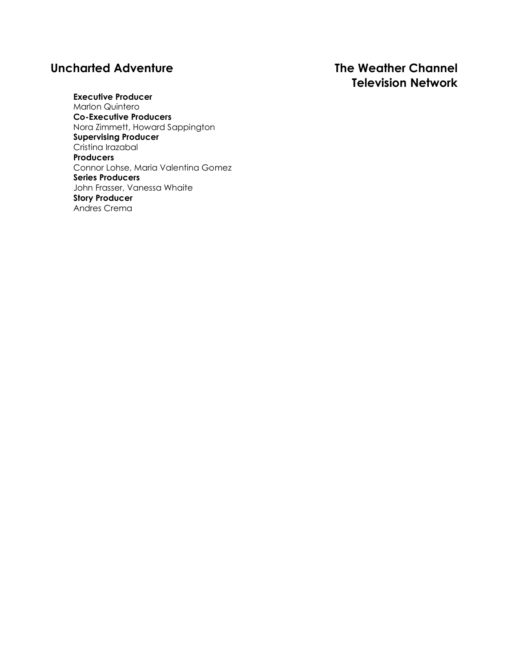# **Uncharted Adventure The Weather Channel**

# **Television Network**

**Executive Producer** Marlon Quintero **Co-Executive Producers** Nora Zimmett, Howard Sappington **Supervising Producer** Cristina Irazabal **Producers** Connor Lohse, Maria Valentina Gomez **Series Producers** John Frasser, Vanessa Whaite **Story Producer** Andres Crema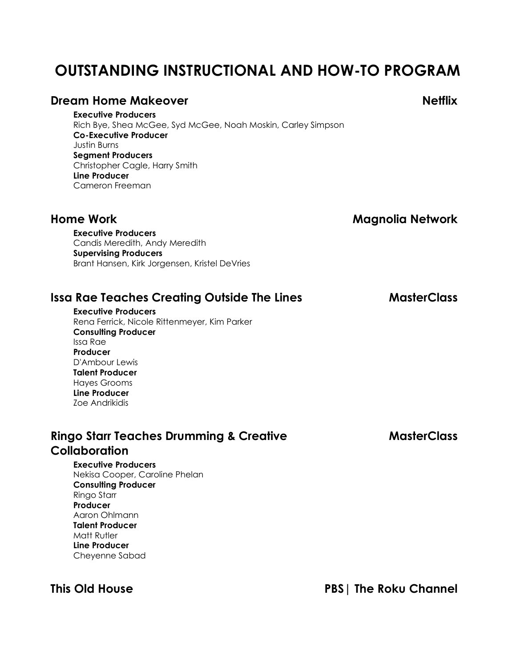# **OUTSTANDING INSTRUCTIONAL AND HOW-TO PROGRAM**

### **Dream Home Makeover Netflix**

**Executive Producers** Rich Bye, Shea McGee, Syd McGee, Noah Moskin, Carley Simpson **Co-Executive Producer** Justin Burns **Segment Producers** Christopher Cagle, Harry Smith **Line Producer** Cameron Freeman

**Home Work Magnolia Network**

**Executive Producers** Candis Meredith, Andy Meredith **Supervising Producers** Brant Hansen, Kirk Jorgensen, Kristel DeVries

# **Issa Rae Teaches Creating Outside The Lines MasterClass**

**Executive Producers** Rena Ferrick, Nicole Rittenmeyer, Kim Parker **Consulting Producer** Issa Rae **Producer** D'Ambour Lewis **Talent Producer** Hayes Grooms **Line Producer** Zoe Andrikidis

# **Ringo Starr Teaches Drumming & Creative MasterClass Collaboration**

**Executive Producers** Nekisa Cooper, Caroline Phelan **Consulting Producer** Ringo Starr **Producer** Aaron Ohlmann **Talent Producer** Matt Rutler **Line Producer** Cheyenne Sabad

**This Old House PBS| The Roku Channel**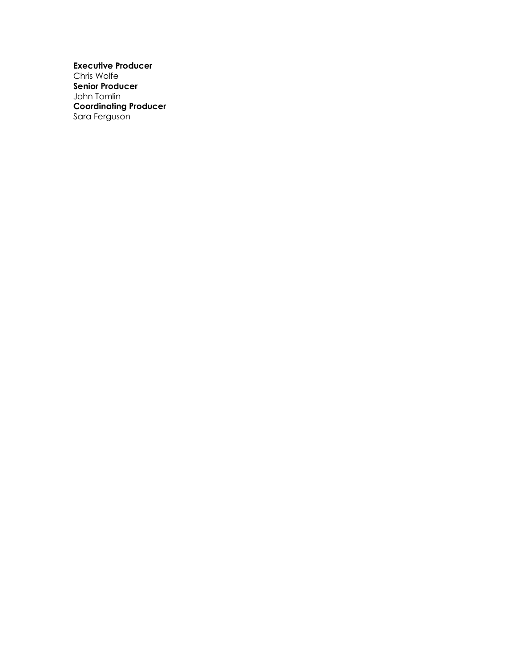**Executive Producer** Chris Wolfe **Senior Producer** John Tomlin **Coordinating Producer** Sara Ferguson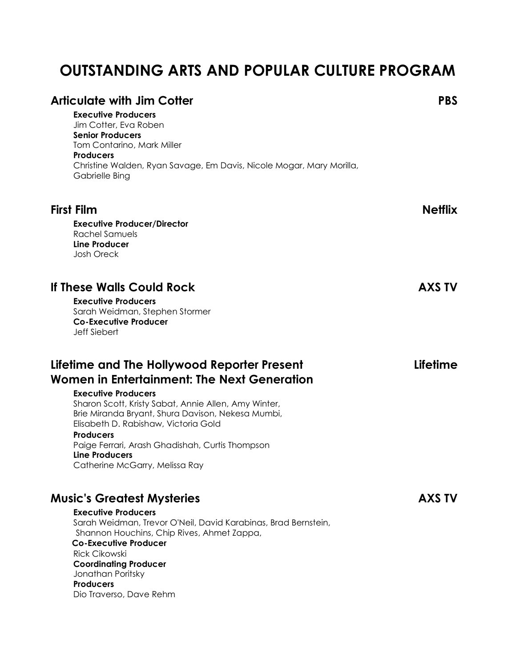# **OUTSTANDING ARTS AND POPULAR CULTURE PROGRAM**

| Articulate with Jim Cotter<br><b>Executive Producers</b><br>Jim Cotter, Eva Roben<br><b>Senior Producers</b><br>Tom Contarino, Mark Miller<br><b>Producers</b><br>Christine Walden, Ryan Savage, Em Davis, Nicole Mogar, Mary Morilla,<br>Gabrielle Bing                                                                                                                                                 | <b>PBS</b>     |
|----------------------------------------------------------------------------------------------------------------------------------------------------------------------------------------------------------------------------------------------------------------------------------------------------------------------------------------------------------------------------------------------------------|----------------|
| <b>First Film</b><br><b>Executive Producer/Director</b><br>Rachel Samuels<br><b>Line Producer</b><br><b>Josh Oreck</b>                                                                                                                                                                                                                                                                                   | <b>Netflix</b> |
| lf These Walls Could Rock<br><b>Executive Producers</b><br>Sarah Weidman, Stephen Stormer<br><b>Co-Executive Producer</b><br><b>Jeff Siebert</b>                                                                                                                                                                                                                                                         | <b>AXS TV</b>  |
| Lifetime and The Hollywood Reporter Present<br>Women in Entertainment: The Next Generation<br><b>Executive Producers</b><br>Sharon Scott, Kristy Sabat, Annie Allen, Amy Winter,<br>Brie Miranda Bryant, Shura Davison, Nekesa Mumbi,<br>Elisabeth D. Rabishaw, Victoria Gold<br><b>Producers</b><br>Paige Ferrari, Arash Ghadishah, Curtis Thompson<br>Line Producers<br>Catherine McGarry, Melissa Ray | Lifetime       |
| <b>Music's Greatest Mysteries</b><br><b>Executive Producers</b><br>Sarah Weidman, Trevor O'Neil, David Karabinas, Brad Bernstein,<br>Shannon Houchins, Chip Rives, Ahmet Zappa,<br><b>Co-Executive Producer</b><br><b>Rick Cikowski</b><br><b>Coordinating Producer</b><br>Jonathan Poritsky<br><b>Producers</b><br>Dio Traverso, Dave Rehm                                                              | AXS TV         |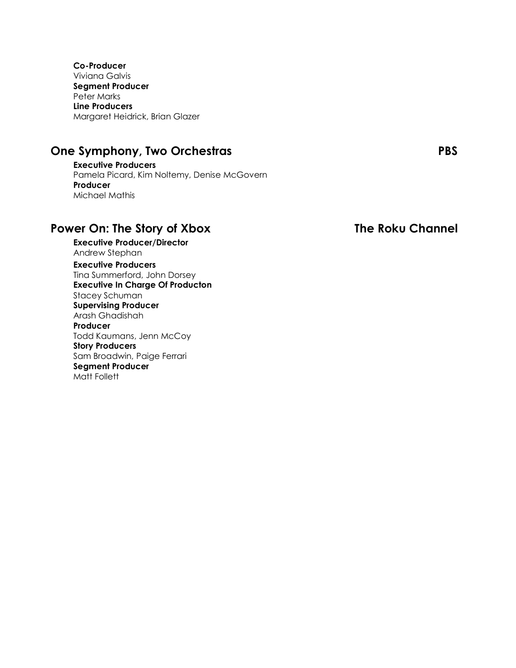**Co-Producer** Viviana Galvis **Segment Producer** Peter Marks **Line Producers** Margaret Heidrick, Brian Glazer

# **One Symphony, Two Orchestras PBS**

**Executive Producers** Pamela Picard, Kim Noltemy, Denise McGovern **Producer** Michael Mathis

# **Power On: The Story of Xbox The Roku Channel**

**Executive Producer/Director** Andrew Stephan **Executive Producers** Tina Summerford, John Dorsey

**Executive In Charge Of Producton** Stacey Schuman **Supervising Producer** Arash Ghadishah **Producer** Todd Kaumans, Jenn McCoy **Story Producers** Sam Broadwin, Paige Ferrari **Segment Producer** Matt Follett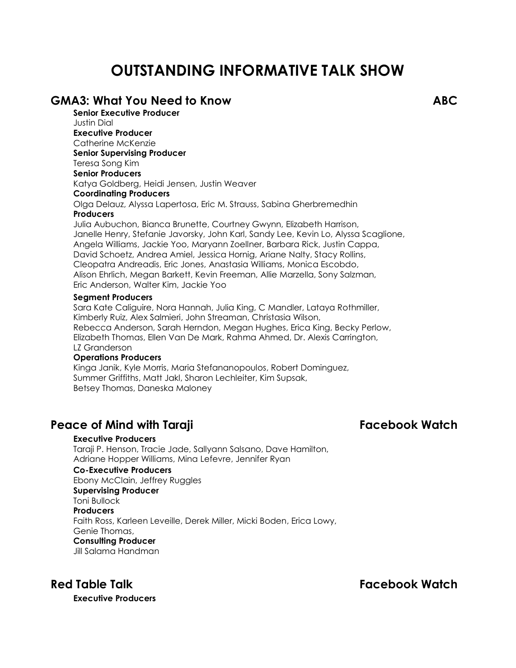# **OUTSTANDING INFORMATIVE TALK SHOW**

### **GMA3: What You Need to Know ABC Senior Executive Producer**

Justin Dial **Executive Producer** Catherine McKenzie **Senior Supervising Producer** Teresa Song Kim **Senior Producers** Katya Goldberg, Heidi Jensen, Justin Weaver **Coordinating Producers** Olga Delauz, Alyssa Lapertosa, Eric M. Strauss, Sabina Gherbremedhin **Producers** Julia Aubuchon, Bianca Brunette, Courtney Gwynn, Elizabeth Harrison, Janelle Henry, Stefanie Javorsky, John Karl, Sandy Lee, Kevin Lo, Alyssa Scaglione, Angela Williams, Jackie Yoo, Maryann Zoellner, Barbara Rick, Justin Cappa, David Schoetz, Andrea Amiel, Jessica Hornig, Ariane Nalty, Stacy Rollins, Cleopatra Andreadis, Eric Jones, Anastasia Williams, Monica Escobdo, Alison Ehrlich, Megan Barkett, Kevin Freeman, Allie Marzella, Sony Salzman, Eric Anderson, Walter Kim, Jackie Yoo

### **Segment Producers**

Sara Kate Caliguire, Nora Hannah, Julia King, C Mandler, Lataya Rothmiller, Kimberly Ruiz, Alex Salmieri, John Streaman, Christasia Wilson, Rebecca Anderson, Sarah Herndon, Megan Hughes, Erica King, Becky Perlow, Elizabeth Thomas, Ellen Van De Mark, Rahma Ahmed, Dr. Alexis Carrington, LZ Granderson

### **Operations Producers**

Kinga Janik, Kyle Morris, Maria Stefananopoulos, Robert Dominguez, Summer Griffiths, Matt Jakl, Sharon Lechleiter, Kim Supsak, Betsey Thomas, Daneska Maloney

## **Peace of Mind with Taraji Facebook Watch**

### **Executive Producers**

Taraji P. Henson, Tracie Jade, Sallyann Salsano, Dave Hamilton, Adriane Hopper Williams, Mina Lefevre, Jennifer Ryan

### **Co-Executive Producers**

Ebony McClain, Jeffrey Ruggles **Supervising Producer**

### Toni Bullock

**Producers**

Faith Ross, Karleen Leveille, Derek Miller, Micki Boden, Erica Lowy, Genie Thomas,

**Consulting Producer**

Jill Salama Handman

**Red Table Talk Facebook Watch**

**Executive Producers**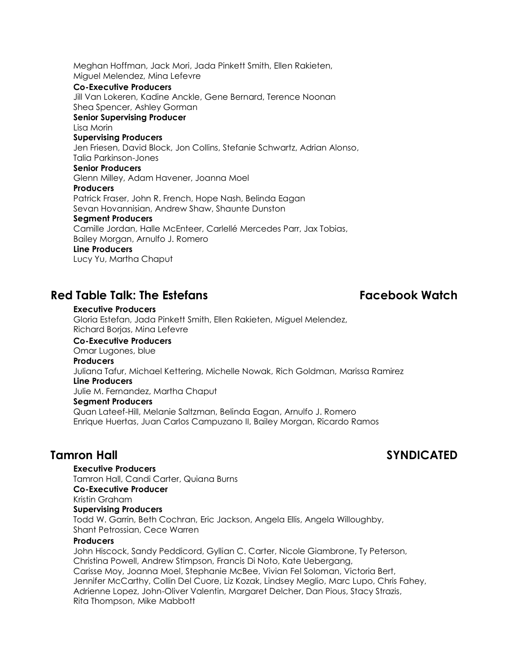Meghan Hoffman, Jack Mori, Jada Pinkett Smith, Ellen Rakieten, Miguel Melendez, Mina Lefevre **Co-Executive Producers** Jill Van Lokeren, Kadine Anckle, Gene Bernard, Terence Noonan Shea Spencer, Ashley Gorman **Senior Supervising Producer** Lisa Morin **Supervising Producers** Jen Friesen, David Block, Jon Collins, Stefanie Schwartz, Adrian Alonso, Talia Parkinson-Jones **Senior Producers** Glenn Milley, Adam Havener, Joanna Moel **Producers** Patrick Fraser, John R. French, Hope Nash, Belinda Eagan Sevan Hovannisian, Andrew Shaw, Shaunte Dunston **Segment Producers** Camille Jordan, Halle McEnteer, Carlellé Mercedes Parr, Jax Tobias, Bailey Morgan, Arnulfo J. Romero **Line Producers** Lucy Yu, Martha Chaput

# **Red Table Talk: The Estefans Facebook Watch**

### **Executive Producers** Gloria Estefan, Jada Pinkett Smith, Ellen Rakieten, Miguel Melendez, Richard Borjas, Mina Lefevre **Co-Executive Producers** Omar Lugones, blue **Producers** Juliana Tafur, Michael Kettering, Michelle Nowak, Rich Goldman, Marissa Ramirez **Line Producers** Julie M. Fernandez, Martha Chaput **Segment Producers** Quan Lateef-Hill, Melanie Saltzman, Belinda Eagan, Arnulfo J. Romero Enrique Huertas, Juan Carlos Campuzano II, Bailey Morgan, Ricardo Ramos

# **Tamron Hall SYNDICATED**

**Executive Producers** Tamron Hall, Candi Carter, Quiana Burns **Co-Executive Producer** Kristin Graham **Supervising Producers** Todd W. Garrin, Beth Cochran, Eric Jackson, Angela Ellis, Angela Willoughby, Shant Petrossian, Cece Warren **Producers** John Hiscock, Sandy Peddicord, Gyllian C. Carter, Nicole Giambrone, Ty Peterson, Christina Powell, Andrew Stimpson, Francis Di Noto, Kate Uebergang,

Carisse Moy, Joanna Moel, Stephanie McBee, Vivian Fel Soloman, Victoria Bert, Jennifer McCarthy, Collin Del Cuore, Liz Kozak, Lindsey Meglio, Marc Lupo, Chris Fahey, Adrienne Lopez, John-Oliver Valentin, Margaret Delcher, Dan Pious, Stacy Strazis, Rita Thompson, Mike Mabbott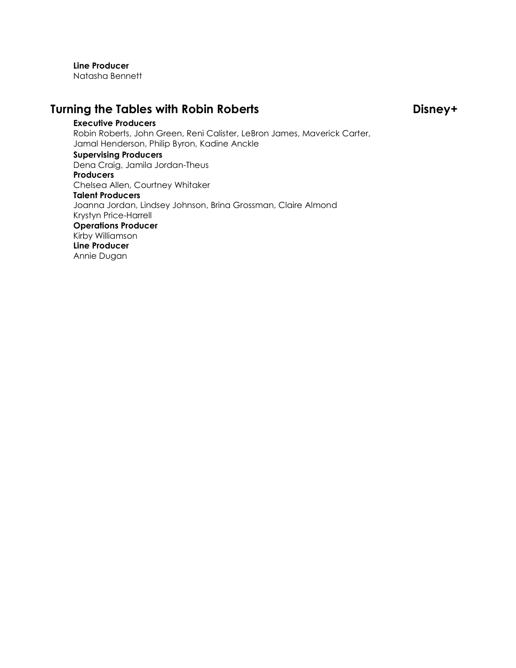**Line Producer** Natasha Bennett

# **Turning the Tables with Robin Roberts Disney+**

**Executive Producers** Robin Roberts, John Green, Reni Calister, LeBron James, Maverick Carter, Jamal Henderson, Philip Byron, Kadine Anckle **Supervising Producers** Dena Craig, Jamila Jordan-Theus **Producers** Chelsea Allen, Courtney Whitaker **Talent Producers** Joanna Jordan, Lindsey Johnson, Brina Grossman, Claire Almond Krystyn Price-Harrell **Operations Producer** Kirby Williamson **Line Producer** Annie Dugan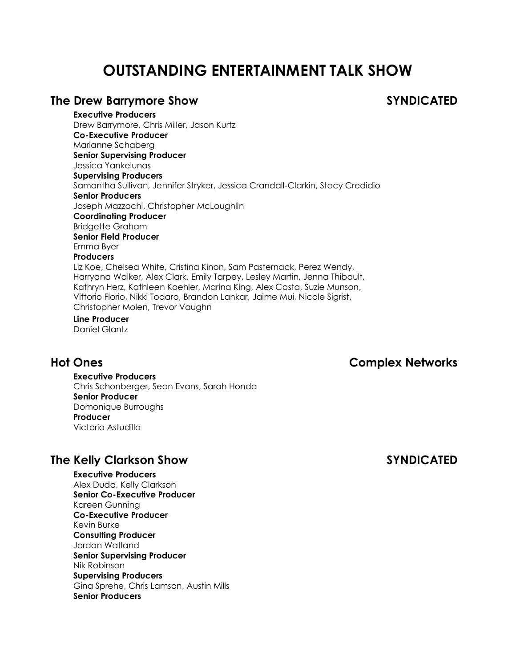# **OUTSTANDING ENTERTAINMENT TALK SHOW**

## **The Drew Barrymore Show SYNDICATED**

**Executive Producers** Drew Barrymore, Chris Miller, Jason Kurtz **Co-Executive Producer** Marianne Schaberg **Senior Supervising Producer** Jessica Yankelunas **Supervising Producers** Samantha Sullivan, Jennifer Stryker, Jessica Crandall-Clarkin, Stacy Credidio **Senior Producers** Joseph Mazzochi, Christopher McLoughlin **Coordinating Producer** Bridgette Graham **Senior Field Producer** Emma Byer **Producers** Liz Koe, Chelsea White, Cristina Kinon, Sam Pasternack, Perez Wendy, Harryana Walker, Alex Clark, Emily Tarpey, Lesley Martin, Jenna Thibault, Kathryn Herz, Kathleen Koehler, Marina King, Alex Costa, Suzie Munson, Vittorio Florio, Nikki Todaro, Brandon Lankar, Jaime Mui, Nicole Sigrist, Christopher Molen, Trevor Vaughn **Line Producer**

Daniel Glantz

## **Hot Ones Complex Networks**

**Executive Producers** Chris Schonberger, Sean Evans, Sarah Honda **Senior Producer** Domonique Burroughs **Producer** Victoria Astudillo

# **The Kelly Clarkson Show SYNDICATED**

**Executive Producers** Alex Duda, Kelly Clarkson **Senior Co-Executive Producer** Kareen Gunning **Co-Executive Producer** Kevin Burke **Consulting Producer** Jordan Watland **Senior Supervising Producer** Nik Robinson **Supervising Producers** Gina Sprehe, Chris Lamson, Austin Mills **Senior Producers**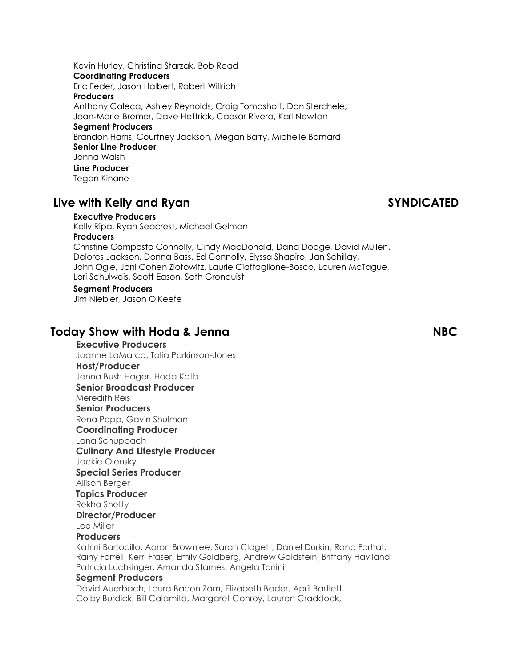Kevin Hurley, Christina Starzak, Bob Read **Coordinating Producers** Eric Feder, Jason Halbert, Robert Willrich **Producers** Anthony Caleca, Ashley Reynolds, Craig Tomashoff, Dan Sterchele, Jean-Marie Bremer, Dave Hettrick, Caesar Rivera, Karl Newton **Segment Producers** Brandon Harris, Courtney Jackson, Megan Barry, Michelle Barnard **Senior Line Producer** Jonna Walsh **Line Producer** Tegan Kinane

# **Live with Kelly and Ryan SYNDICATED**

### **Executive Producers**

Kelly Ripa, Ryan Seacrest, Michael Gelman **Producers** Christine Composto Connolly, Cindy MacDonald, Dana Dodge, David Mullen, Delores Jackson, Donna Bass, Ed Connolly, Elyssa Shapiro, Jan Schillay, John Ogle, Joni Cohen Zlotowitz, Laurie Ciaffaglione-Bosco, Lauren McTague, Lori Schulweis, Scott Eason, Seth Gronquist

### **Segment Producers**

Jim Niebler, Jason O'Keefe

## **Today Show with Hoda & Jenna NBC**

**Executive Producers** Joanne LaMarca, Talia Parkinson-Jones **Host/Producer** Jenna Bush Hager, Hoda Kotb **Senior Broadcast Producer** Meredith Reis **Senior Producers** Rena Popp, Gavin Shulman **Coordinating Producer** Lana Schupbach **Culinary And Lifestyle Producer** Jackie Olensky **Special Series Producer** Allison Berger **Topics Producer** Rekha Shetty **Director/Producer** Lee Miller **Producers**

Katrini Bartocillo, Aaron Brownlee, Sarah Clagett, Daniel Durkin, Rana Farhat, Rainy Farrell, Kerri Fraser, Emily Goldberg, Andrew Goldstein, Brittany Haviland, Patricia Luchsinger, Amanda Starnes, Angela Tonini

### **Segment Producers**

David Auerbach, Laura Bacon Zam, Elizabeth Bader, April Bartlett, Colby Burdick, Bill Calamita, Margaret Conroy, Lauren Craddock,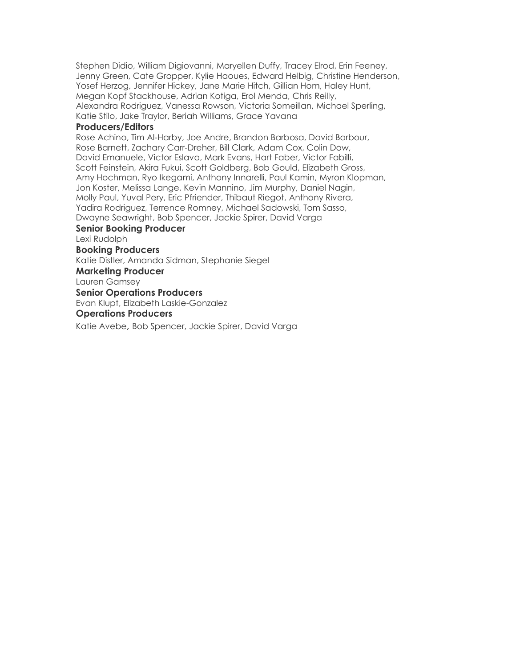Stephen Didio, William Digiovanni, Maryellen Duffy, Tracey Elrod, Erin Feeney, Jenny Green, Cate Gropper, Kylie Haoues, Edward Helbig, Christine Henderson, Yosef Herzog, Jennifer Hickey, Jane Marie Hitch, Gillian Hom, Haley Hunt, Megan Kopf Stackhouse, Adrian Kotiga, Erol Menda, Chris Reilly, Alexandra Rodriguez, Vanessa Rowson, Victoria Someillan, Michael Sperling, Katie Stilo, Jake Traylor, Beriah Williams, Grace Yavana

### **Producers/Editors**

Rose Achino, Tim Al-Harby, Joe Andre, Brandon Barbosa, David Barbour, Rose Barnett, Zachary Carr-Dreher, Bill Clark, Adam Cox, Colin Dow, David Emanuele, Victor Eslava, Mark Evans, Hart Faber, Victor Fabilli, Scott Feinstein, Akira Fukui, Scott Goldberg, Bob Gould, Elizabeth Gross, Amy Hochman, Ryo Ikegami, Anthony Innarelli, Paul Kamin, Myron Klopman, Jon Koster, Melissa Lange, Kevin Mannino, Jim Murphy, Daniel Nagin, Molly Paul, Yuval Pery, Eric Pfriender, Thibaut Riegot, Anthony Rivera, Yadira Rodriguez, Terrence Romney, Michael Sadowski, Tom Sasso, Dwayne Seawright, Bob Spencer, Jackie Spirer, David Varga

### **Senior Booking Producer**

Lexi Rudolph

### **Booking Producers**

Katie Distler, Amanda Sidman, Stephanie Siegel

### **Marketing Producer**

Lauren Gamsey

### **Senior Operations Producers**

Evan Klupt, Elizabeth Laskie-Gonzalez

### **Operations Producers**

Katie Avebe, Bob Spencer, Jackie Spirer, David Varga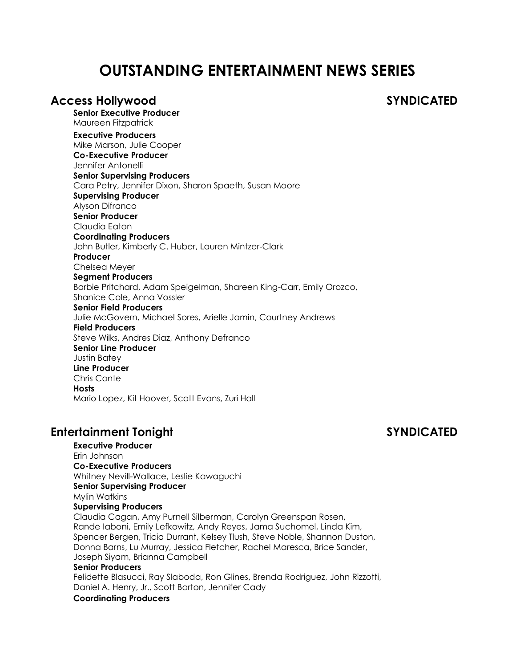# **OUTSTANDING ENTERTAINMENT NEWS SERIES**

### **Access Hollywood SYNDICATED**

**Senior Executive Producer** Maureen Fitzpatrick **Executive Producers** Mike Marson, Julie Cooper **Co-Executive Producer** Jennifer Antonelli **Senior Supervising Producers** Cara Petry, Jennifer Dixon, Sharon Spaeth, Susan Moore **Supervising Producer** Alyson Difranco **Senior Producer** Claudia Eaton **Coordinating Producers** John Butler, Kimberly C. Huber, Lauren Mintzer-Clark **Producer** Chelsea Meyer **Segment Producers** Barbie Pritchard, Adam Speigelman, Shareen King-Carr, Emily Orozco, Shanice Cole, Anna Vossler **Senior Field Producers** Julie McGovern, Michael Sores, Arielle Jamin, Courtney Andrews **Field Producers** Steve Wilks, Andres Diaz, Anthony Defranco **Senior Line Producer** Justin Batey **Line Producer** Chris Conte **Hosts** Mario Lopez, Kit Hoover, Scott Evans, Zuri Hall

## **Entertainment Tonight SYNDICATED**

**Executive Producer** Erin Johnson **Co-Executive Producers** Whitney Nevill-Wallace, Leslie Kawaguchi **Senior Supervising Producer** Mylin Watkins **Supervising Producers** Claudia Cagan, Amy Purnell Silberman, Carolyn Greenspan Rosen, Rande Iaboni, Emily Lefkowitz, Andy Reyes, Jama Suchomel, Linda Kim, Spencer Bergen, Tricia Durrant, Kelsey Tlush, Steve Noble, Shannon Duston, Donna Barns, Lu Murray, Jessica Fletcher, Rachel Maresca, Brice Sander, Joseph Siyam, Brianna Campbell

### **Senior Producers**

Felidette Blasucci, Ray Slaboda, Ron Glines, Brenda Rodriguez, John Rizzotti, Daniel A. Henry, Jr., Scott Barton, Jennifer Cady

### **Coordinating Producers**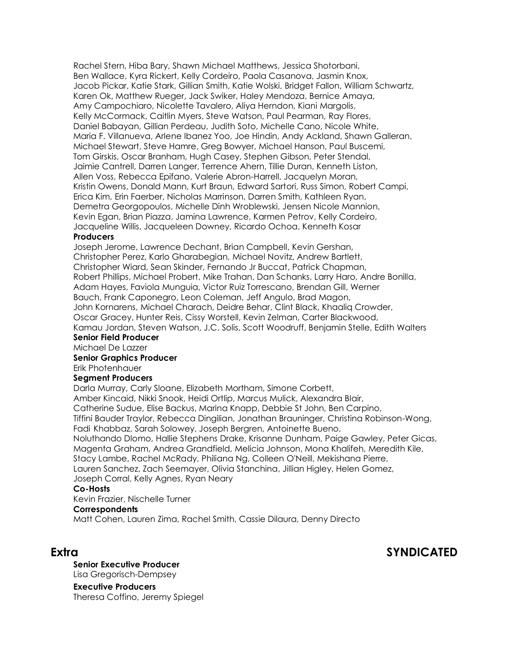Rachel Stern, Hiba Bary, Shawn Michael Matthews, Jessica Shotorbani, Ben Wallace, Kyra Rickert, Kelly Cordeiro, Paola Casanova, Jasmin Knox, Jacob Pickar, Katie Stark, Gillian Smith, Katie Wolski, Bridget Fallon, William Schwartz, Karen Ok, Matthew Rueger, Jack Swiker, Haley Mendoza, Bernice Amaya, Amy Campochiaro, Nicolette Tavalero, Aliya Herndon, Kiani Margolis, Kelly McCormack, Caitlin Myers, Steve Watson, Paul Pearman, Ray Flores, Daniel Babayan, Gillian Perdeau, Judith Soto, Michelle Cano, Nicole White, Maria F. Villanueva, Arlene Ibanez Yoo, Joe Hindin, Andy Ackland, Shawn Galleran, Michael Stewart, Steve Hamre, Greg Bowyer, Michael Hanson, Paul Buscemi, Tom Girskis, Oscar Branham, Hugh Casey, Stephen Gibson, Peter Stendal, Jaimie Cantrell, Darren Langer, Terrence Ahern, Tillie Duran, Kenneth Liston, Allen Voss, Rebecca Epifano, Valerie Abron-Harrell, Jacquelyn Moran, Kristin Owens, Donald Mann, Kurt Braun, Edward Sartori, Russ Simon, Robert Campi, Erica Kim, Erin Faerber, Nicholas Marrinson, Darren Smith, Kathleen Ryan, Demetra Georgopoulos, Michelle Dinh Wroblewski, Jensen Nicole Mannion, Kevin Egan, Brian Piazza, Jamina Lawrence, Karmen Petrov, Kelly Cordeiro, Jacqueline Willis, Jacqueleen Downey, Ricardo Ochoa, Kenneth Kosar

### **Producers**

Joseph Jerome, Lawrence Dechant, Brian Campbell, Kevin Gershan, Christopher Perez, Karlo Gharabegian, Michael Novitz, Andrew Bartlett, Christopher Wiard, Sean Skinder, Fernando Jr Buccat, Patrick Chapman, Robert Phillips, Michael Probert, Mike Trahan, Dan Schanks, Larry Haro, Andre Bonilla, Adam Hayes, Faviola Munguia, Victor Ruiz Torrescano, Brendan Gill, Werner Bauch, Frank Caponegro, Leon Coleman, Jeff Angulo, Brad Magon, John Kornarens, Michael Charach, Deidre Behar, Clint Black, Khaaliq Crowder, Oscar Gracey, Hunter Reis, Cissy Worstell, Kevin Zelman, Carter Blackwood, Kamau Jordan, Steven Watson, J.C. Solis, Scott Woodruff, Benjamin Stelle, Edith Walters **Senior Field Producer**

Michael De Lazzer

### **Senior Graphics Producer**

### Erik Photenhauer **Segment Producers**

Darla Murray, Carly Sloane, Elizabeth Mortham, Simone Corbett,

Amber Kincaid, Nikki Snook, Heidi Ortlip, Marcus Mulick, Alexandra Blair,

Catherine Sudue, Elise Backus, Marina Knapp, Debbie St John, Ben Carpino,

Tiffini Bauder Traylor, Rebecca Dingilian, Jonathan Brauninger, Christina Robinson-Wong,

Fadi Khabbaz, Sarah Solowey, Joseph Bergren, Antoinette Bueno,

Noluthando Dlomo, Hallie Stephens Drake, Krisanne Dunham, Paige Gawley, Peter Gicas, Magenta Graham, Andrea Grandfield, Melicia Johnson, Mona Khalifeh, Meredith Kile,

Stacy Lambe, Rachel McRady, Philiana Ng, Colleen O'Neill, Mekishana Pierre,

Lauren Sanchez, Zach Seemayer, Olivia Stanchina, Jillian Higley, Helen Gomez, Joseph Corral, Kelly Agnes, Ryan Neary

### **Co-Hosts**

Kevin Frazier, Nischelle Turner

### **Correspondents**

Matt Cohen, Lauren Zima, Rachel Smith, Cassie Dilaura, Denny Directo

## **Extra SYNDICATED**

**Senior Executive Producer** Lisa Gregorisch-Dempsey

**Executive Producers** Theresa Coffino, Jeremy Spiegel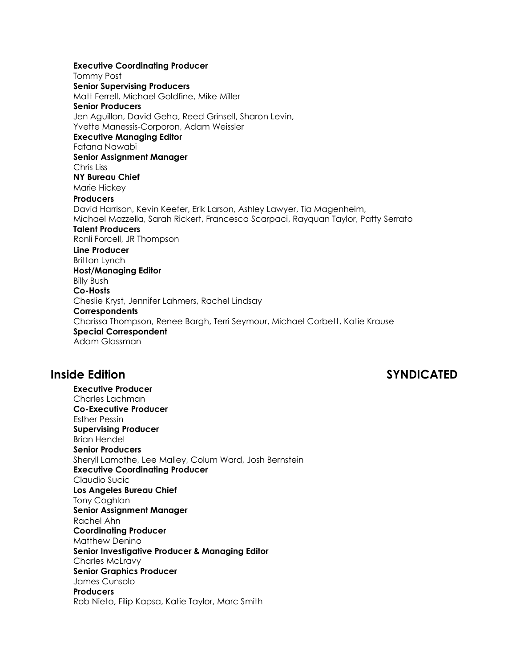**Executive Coordinating Producer** Tommy Post **Senior Supervising Producers** Matt Ferrell, Michael Goldfine, Mike Miller **Senior Producers** Jen Aguillon, David Geha, Reed Grinsell, Sharon Levin, Yvette Manessis-Corporon, Adam Weissler **Executive Managing Editor** Fatana Nawabi **Senior Assignment Manager** Chris Liss **NY Bureau Chief** Marie Hickey **Producers** David Harrison, Kevin Keefer, Erik Larson, Ashley Lawyer, Tia Magenheim, Michael Mazzella, Sarah Rickert, Francesca Scarpaci, Rayquan Taylor, Patty Serrato **Talent Producers** Ronli Forcell, JR Thompson **Line Producer** Britton Lynch **Host/Managing Editor** Billy Bush **Co-Hosts** Cheslie Kryst, Jennifer Lahmers, Rachel Lindsay **Correspondents** Charissa Thompson, Renee Bargh, Terri Seymour, Michael Corbett, Katie Krause **Special Correspondent** Adam Glassman

## **Inside Edition SYNDICATED**

**Executive Producer** Charles Lachman **Co-Executive Producer** Esther Pessin **Supervising Producer** Brian Hendel **Senior Producers** Sheryll Lamothe, Lee Malley, Colum Ward, Josh Bernstein **Executive Coordinating Producer** Claudio Sucic **Los Angeles Bureau Chief** Tony Coghlan **Senior Assignment Manager** Rachel Ahn **Coordinating Producer** Matthew Denino **Senior Investigative Producer & Managing Editor** Charles McLravy **Senior Graphics Producer** James Cunsolo **Producers** Rob Nieto, Filip Kapsa, Katie Taylor, Marc Smith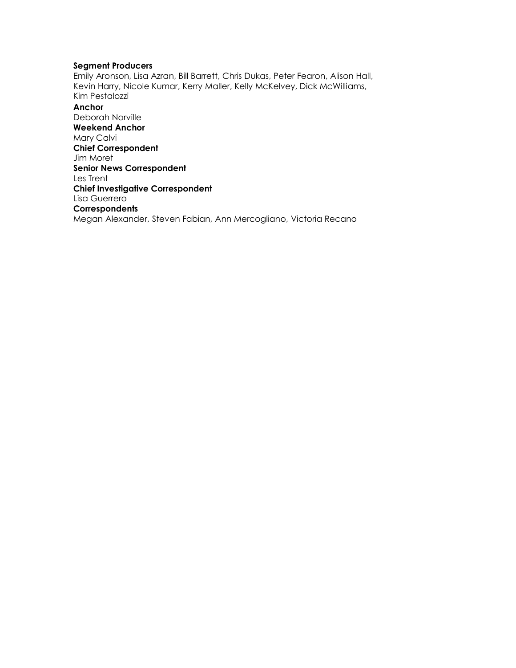### **Segment Producers**

Emily Aronson, Lisa Azran, Bill Barrett, Chris Dukas, Peter Fearon, Alison Hall, Kevin Harry, Nicole Kumar, Kerry Maller, Kelly McKelvey, Dick McWilliams, Kim Pestalozzi

**Anchor** Deborah Norville **Weekend Anchor** Mary Calvi **Chief Correspondent** Jim Moret **Senior News Correspondent** Les Trent **Chief Investigative Correspondent** Lisa Guerrero **Correspondents** Megan Alexander, Steven Fabian, Ann Mercogliano, Victoria Recano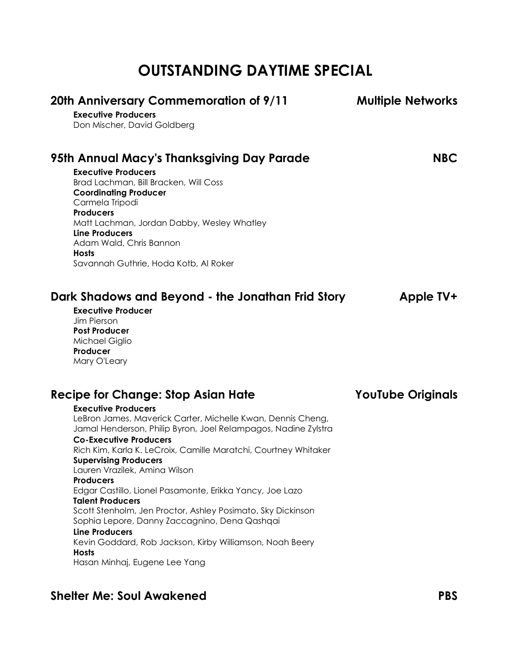# **OUTSTANDING DAYTIME SPECIAL**

| 20th Anniversary Commemoration of 9/11                                                                                        | <b>Multiple Networks</b> |
|-------------------------------------------------------------------------------------------------------------------------------|--------------------------|
| <b>Executive Producers</b>                                                                                                    |                          |
| Don Mischer, David Goldberg                                                                                                   |                          |
| 95th Annual Macy's Thanksgiving Day Parade                                                                                    | <b>NBC</b>               |
| <b>Executive Producers</b>                                                                                                    |                          |
| Brad Lachman, Bill Bracken, Will Coss                                                                                         |                          |
| <b>Coordinating Producer</b>                                                                                                  |                          |
| Carmela Tripodi                                                                                                               |                          |
| <b>Producers</b>                                                                                                              |                          |
| Matt Lachman, Jordan Dabby, Wesley Whatley<br><b>Line Producers</b>                                                           |                          |
| Adam Wald, Chris Bannon                                                                                                       |                          |
| <b>Hosts</b>                                                                                                                  |                          |
| Savannah Guthrie, Hoda Kotb, Al Roker                                                                                         |                          |
| Dark Shadows and Beyond - the Jonathan Frid Story<br><b>Executive Producer</b><br>Jim Pierson<br><b>Post Producer</b>         | Apple TV+                |
| Michael Giglio                                                                                                                |                          |
| Producer                                                                                                                      |                          |
| Mary O'Leary                                                                                                                  |                          |
| <b>Recipe for Change: Stop Asian Hate</b>                                                                                     | <b>YouTube Originals</b> |
| <b>Executive Producers</b>                                                                                                    |                          |
| LeBron James, Maverick Carter, Michelle Kwan, Dennis Cheng,<br>Jamal Henderson, Philip Byron, Joel Relampagos, Nadine Zylstra |                          |
| <b>Co-Executive Producers</b>                                                                                                 |                          |
| Rich Kim, Karla K. LeCroix, Camille Maratchi, Courtney Whitaker<br><b>Supervising Producers</b>                               |                          |
| Lauren Vrazilek, Amina Wilson                                                                                                 |                          |
| <b>Producers</b>                                                                                                              |                          |
| Edgar Castillo, Lionel Pasamonte, Erikka Yancy, Joe Lazo                                                                      |                          |
| <b>Talent Producers</b>                                                                                                       |                          |
| Scott Stenholm, Jen Proctor, Ashley Posimato, Sky Dickinson                                                                   |                          |
| Sophia Lepore, Danny Zaccagnino, Dena Qashqai                                                                                 |                          |
| <b>Line Producers</b><br>Kevin Goddard, Rob Jackson, Kirby Williamson, Noah Beery                                             |                          |
| <b>Hosts</b>                                                                                                                  |                          |
| Hasan Minhaj, Eugene Lee Yang                                                                                                 |                          |

# **Shelter Me: Soul Awakened PBS**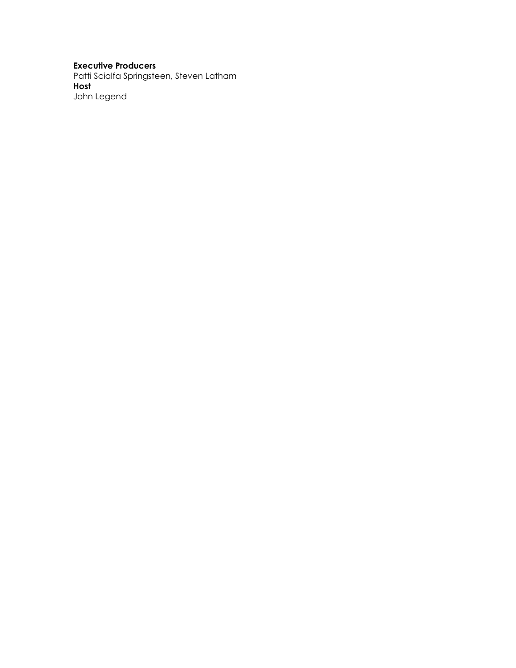### **Executive Producers**

Patti Scialfa Springsteen, Steven Latham **Host** John Legend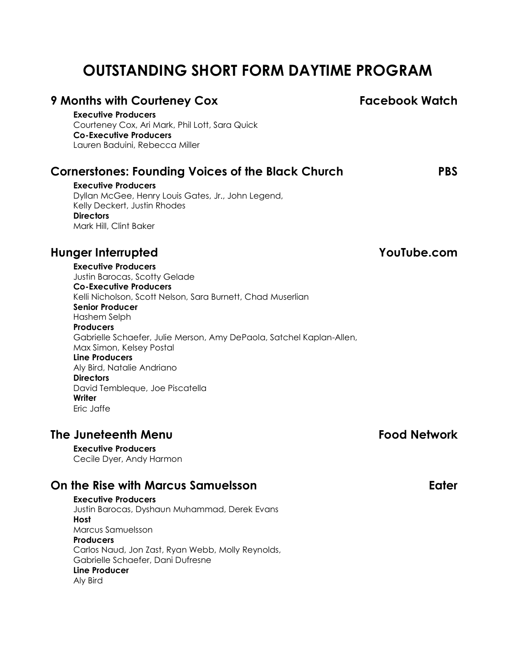# **OUTSTANDING SHORT FORM DAYTIME PROGRAM**

# **9 Months with Courteney Cox Facebook Watch**

**Executive Producers** Courteney Cox, Ari Mark, Phil Lott, Sara Quick **Co-Executive Producers** Lauren Baduini, Rebecca Miller

## **Cornerstones: Founding Voices of the Black Church PBS**

**Executive Producers** Dyllan McGee, Henry Louis Gates, Jr., John Legend, Kelly Deckert, Justin Rhodes **Directors** Mark Hill, Clint Baker

# **Hunger Interrupted YouTube.com**

**Executive Producers** Justin Barocas, Scotty Gelade **Co-Executive Producers** Kelli Nicholson, Scott Nelson, Sara Burnett, Chad Muserlian **Senior Producer** Hashem Selph **Producers** Gabrielle Schaefer, Julie Merson, Amy DePaola, Satchel Kaplan-Allen, Max Simon, Kelsey Postal **Line Producers** Aly Bird, Natalie Andriano **Directors** David Tembleque, Joe Piscatella **Writer** Eric Jaffe

## **The Juneteenth Menu Food Network**

**Executive Producers** Cecile Dyer, Andy Harmon

# **On the Rise with Marcus Samuelsson Eater**

**Executive Producers** Justin Barocas, Dyshaun Muhammad, Derek Evans **Host** Marcus Samuelsson **Producers** Carlos Naud, Jon Zast, Ryan Webb, Molly Reynolds, Gabrielle Schaefer, Dani Dufresne **Line Producer** Aly Bird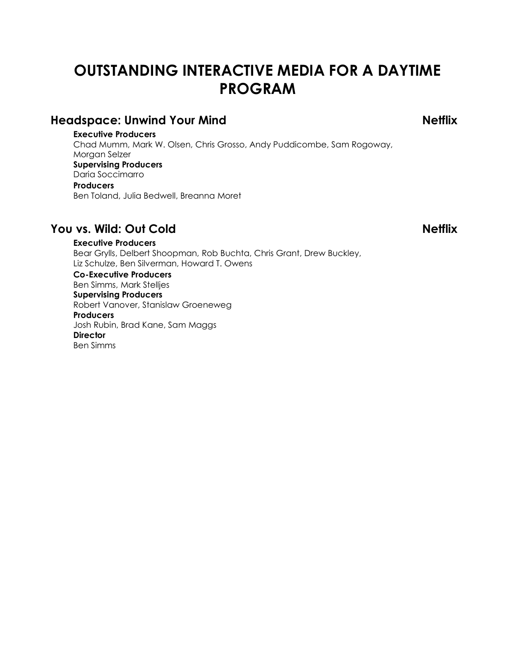# **OUTSTANDING INTERACTIVE MEDIA FOR A DAYTIME PROGRAM**

# **Headspace: Unwind Your Mind Netflix**

**Executive Producers** Chad Mumm, Mark W. Olsen, Chris Grosso, Andy Puddicombe, Sam Rogoway, Morgan Selzer **Supervising Producers** Daria Soccimarro **Producers** Ben Toland, Julia Bedwell, Breanna Moret

# **You vs. Wild: Out Cold Netflix**

**Executive Producers** Bear Grylls, Delbert Shoopman, Rob Buchta, Chris Grant, Drew Buckley, Liz Schulze, Ben Silverman, Howard T. Owens

**Co-Executive Producers** Ben Simms, Mark Stelljes **Supervising Producers** Robert Vanover, Stanislaw Groeneweg **Producers** Josh Rubin, Brad Kane, Sam Maggs **Director** Ben Simms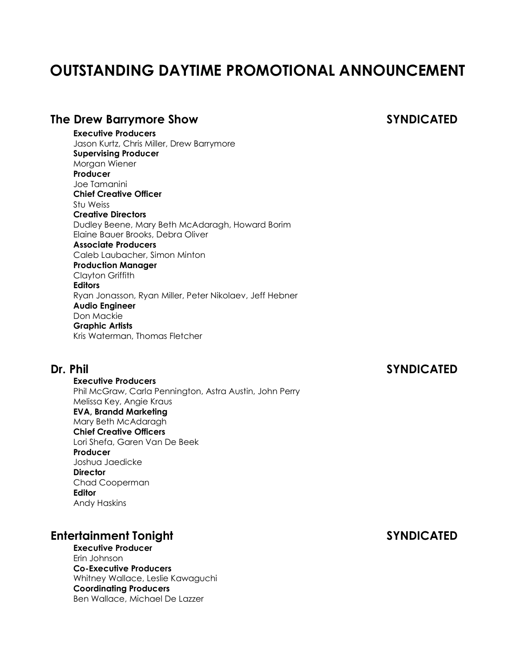# **OUTSTANDING DAYTIME PROMOTIONAL ANNOUNCEMENT**

### **The Drew Barrymore Show SYNDICATED**

**Executive Producers** Jason Kurtz, Chris Miller, Drew Barrymore **Supervising Producer** Morgan Wiener **Producer** Joe Tamanini **Chief Creative Officer** Stu Weiss **Creative Directors** Dudley Beene, Mary Beth McAdaragh, Howard Borim Elaine Bauer Brooks, Debra Oliver **Associate Producers** Caleb Laubacher, Simon Minton **Production Manager** Clayton Griffith **Editors** Ryan Jonasson, Ryan Miller, Peter Nikolaev, Jeff Hebner **Audio Engineer** Don Mackie **Graphic Artists** Kris Waterman, Thomas Fletcher

## **Dr. Phil SYNDICATED**

**Executive Producers** Phil McGraw, Carla Pennington, Astra Austin, John Perry Melissa Key, Angie Kraus **EVA, Brandd Marketing** Mary Beth McAdaragh **Chief Creative Officers** Lori Shefa, Garen Van De Beek **Producer** Joshua Jaedicke **Director** Chad Cooperman **Editor** Andy Haskins

# **Entertainment Tonight SYNDICATED**

**Executive Producer** Erin Johnson **Co-Executive Producers** Whitney Wallace, Leslie Kawaguchi **Coordinating Producers** Ben Wallace, Michael De Lazzer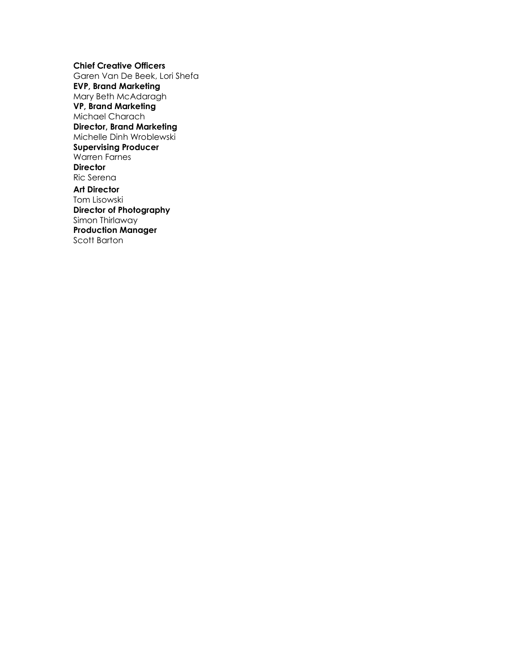**Chief Creative Officers** Garen Van De Beek, Lori Shefa **EVP, Brand Marketing** Mary Beth McAdaragh **VP, Brand Marketing** Michael Charach **Director, Brand Marketing** Michelle Dinh Wroblewski **Supervising Producer** Warren Farnes **Director** Ric Serena **Art Director**

Tom Lisowski **Director of Photography** Simon Thirlaway **Production Manager** Scott Barton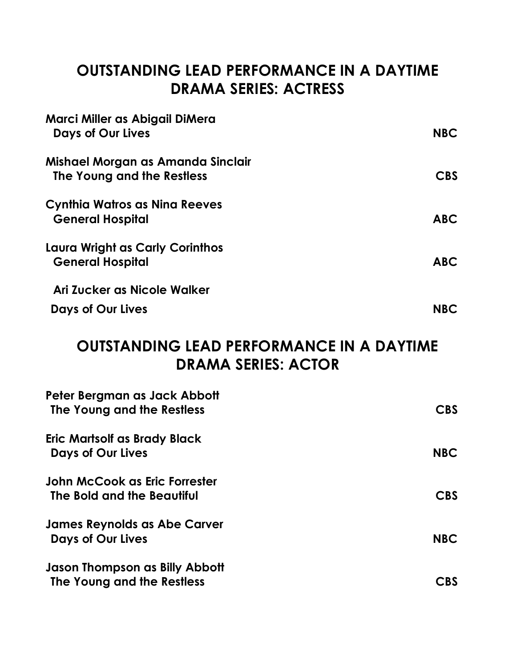# **OUTSTANDING LEAD PERFORMANCE IN A DAYTIME DRAMA SERIES: ACTRESS**

| Marci Miller as Abigail DiMera<br><b>Days of Our Lives</b>      | <b>NBC</b> |
|-----------------------------------------------------------------|------------|
| Mishael Morgan as Amanda Sinclair<br>The Young and the Restless | <b>CBS</b> |
| Cynthia Watros as Nina Reeves<br><b>General Hospital</b>        | <b>ABC</b> |
| Laura Wright as Carly Corinthos<br><b>General Hospital</b>      | <b>ABC</b> |
| Ari Zucker as Nicole Walker                                     |            |
| <b>Days of Our Lives</b>                                        | <b>NBC</b> |

# **OUTSTANDING LEAD PERFORMANCE IN A DAYTIME DRAMA SERIES: ACTOR**

| Peter Bergman as Jack Abbott<br>The Young and the Restless      | <b>CBS</b>     |
|-----------------------------------------------------------------|----------------|
| <b>Eric Martsolf as Brady Black</b><br><b>Days of Our Lives</b> | <b>NBC</b>     |
| John McCook as Eric Forrester<br>The Bold and the Beautiful     | <b>CBS</b>     |
| <b>James Reynolds as Abe Carver</b><br><b>Days of Our Lives</b> | <b>NBC</b>     |
| Jason Thompson as Billy Abbott<br>The Young and the Restless    | $\mathsf{CBS}$ |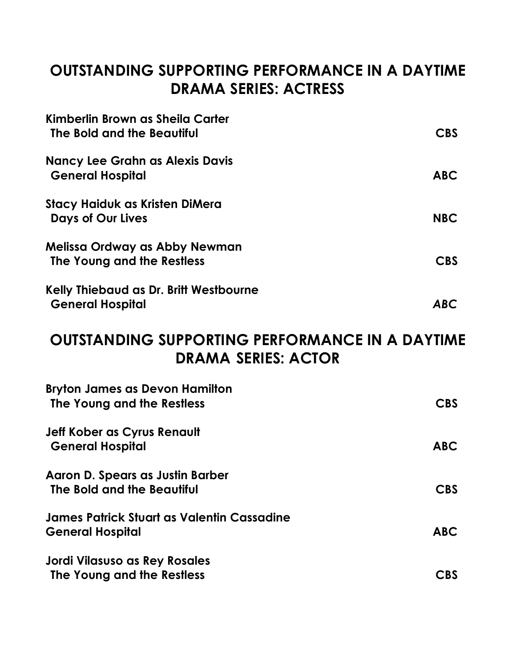# **OUTSTANDING SUPPORTING PERFORMANCE IN A DAYTIME DRAMA SERIES: ACTRESS**

| Kimberlin Brown as Sheila Carter<br>The Bold and the Beautiful    | CBS        |
|-------------------------------------------------------------------|------------|
| <b>Nancy Lee Grahn as Alexis Davis</b><br><b>General Hospital</b> | <b>ABC</b> |
| Stacy Haiduk as Kristen DiMera<br><b>Days of Our Lives</b>        | <b>NBC</b> |
| Melissa Ordway as Abby Newman<br>The Young and the Restless       | CBS        |
| Kelly Thiebaud as Dr. Britt Westbourne<br><b>General Hospital</b> | <b>ABC</b> |

# **OUTSTANDING SUPPORTING PERFORMANCE IN A DAYTIME DRAMA SERIES: ACTOR**

| <b>Bryton James as Devon Hamilton</b><br>The Young and the Restless   | CBS        |
|-----------------------------------------------------------------------|------------|
| <b>Jeff Kober as Cyrus Renault</b><br><b>General Hospital</b>         | ABC        |
| Aaron D. Spears as Justin Barber<br>The Bold and the Beautiful        | CBS        |
| James Patrick Stuart as Valentin Cassadine<br><b>General Hospital</b> | <b>ABC</b> |
| <b>Jordi Vilasuso as Rey Rosales</b><br>The Young and the Restless    | <b>CBS</b> |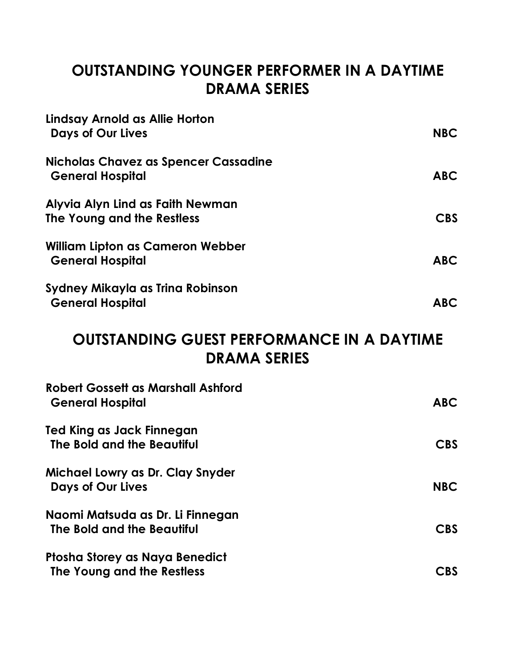# **OUTSTANDING YOUNGER PERFORMER IN A DAYTIME DRAMA SERIES**

| Lindsay Arnold as Allie Horton<br>Days of Our Lives                | <b>NBC</b> |
|--------------------------------------------------------------------|------------|
| Nicholas Chavez as Spencer Cassadine<br><b>General Hospital</b>    | <b>ABC</b> |
| Alyvia Alyn Lind as Faith Newman<br>The Young and the Restless     | <b>CBS</b> |
| <b>William Lipton as Cameron Webber</b><br><b>General Hospital</b> | <b>ABC</b> |
| Sydney Mikayla as Trina Robinson<br><b>General Hospital</b>        | <b>ABC</b> |

# **OUTSTANDING GUEST PERFORMANCE IN A DAYTIME DRAMA SERIES**

| <b>Robert Gossett as Marshall Ashford</b><br><b>General Hospital</b> | <b>ABC</b>     |
|----------------------------------------------------------------------|----------------|
| Ted King as Jack Finnegan<br>The Bold and the Beautiful              | <b>CBS</b>     |
| Michael Lowry as Dr. Clay Snyder<br><b>Days of Our Lives</b>         | <b>NBC</b>     |
| Naomi Matsuda as Dr. Li Finnegan<br>The Bold and the Beautiful       | <b>CBS</b>     |
| Ptosha Storey as Naya Benedict<br>The Young and the Restless         | $\mathsf{CBS}$ |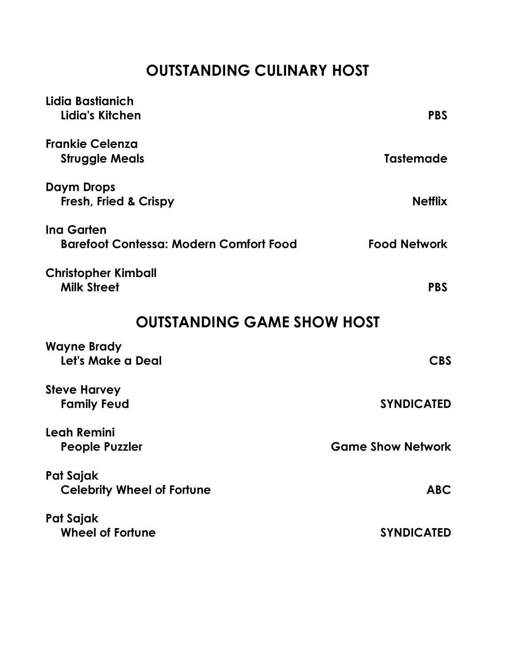# **OUTSTANDING CULINARY HOST**

| Lidia Bastianich<br>Lidia's Kitchen                                | <b>PBS</b>               |  |
|--------------------------------------------------------------------|--------------------------|--|
| <b>Frankie Celenza</b><br><b>Struggle Meals</b>                    | <b>Tastemade</b>         |  |
| Daym Drops<br><b>Fresh, Fried &amp; Crispy</b>                     | <b>Netflix</b>           |  |
| <b>Ing Garten</b><br><b>Barefoot Contessa: Modern Comfort Food</b> | <b>Food Network</b>      |  |
| <b>Christopher Kimball</b><br><b>Milk Street</b>                   | <b>PBS</b>               |  |
| <b>OUTSTANDING GAME SHOW HOST</b>                                  |                          |  |
| <b>Wayne Brady</b><br>Let's Make a Deal                            | <b>CBS</b>               |  |
| <b>Steve Harvey</b><br><b>Family Feud</b>                          | <b>SYNDICATED</b>        |  |
| Leah Remini<br><b>People Puzzler</b>                               | <b>Game Show Network</b> |  |
| Pat Sajak<br><b>Celebrity Wheel of Fortune</b>                     | <b>ABC</b>               |  |
| Pat Sajak<br><b>Wheel of Fortune</b>                               | <b>SYNDICATED</b>        |  |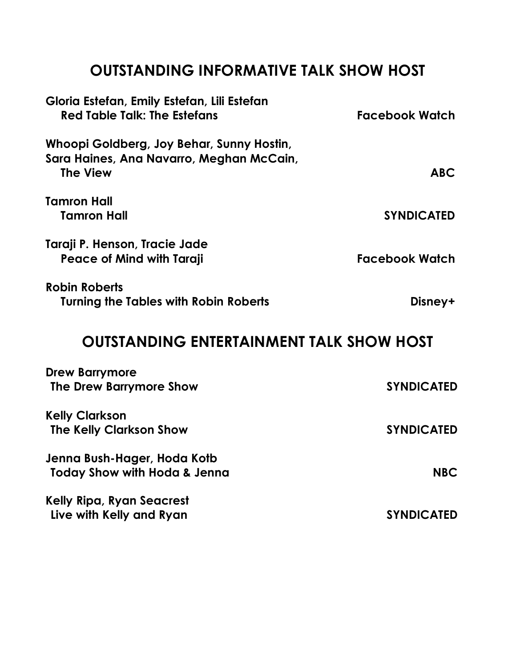# **OUTSTANDING INFORMATIVE TALK SHOW HOST**

| Gloria Estefan, Emily Estefan, Lili Estefan<br><b>Red Table Talk: The Estefans</b>                       | <b>Facebook Watch</b> |
|----------------------------------------------------------------------------------------------------------|-----------------------|
| Whoopi Goldberg, Joy Behar, Sunny Hostin,<br>Sara Haines, Ana Navarro, Meghan McCain,<br><b>The View</b> | <b>ABC</b>            |
| <b>Tamron Hall</b><br><b>Tamron Hall</b>                                                                 | <b>SYNDICATED</b>     |
| Taraji P. Henson, Tracie Jade<br><b>Peace of Mind with Taraji</b>                                        | <b>Facebook Watch</b> |
| <b>Robin Roberts</b><br><b>Turning the Tables with Robin Roberts</b>                                     | Disney+               |
| <b>OUTSTANDING ENTERTAINMENT TALK SHOW HOST</b>                                                          |                       |
| <b>Drew Barrymore</b><br>The Drew Barrymore Show                                                         | <b>SYNDICATED</b>     |
| <b>Kelly Clarkson</b><br><b>The Kelly Clarkson Show</b>                                                  | <b>SYNDICATED</b>     |
| Jenna Bush-Hager, Hoda Kotb<br><b>Today Show with Hoda &amp; Jenna</b>                                   | <b>NBC</b>            |
| <b>Kelly Ripa, Ryan Seacrest</b><br>Live with Kelly and Ryan                                             | <b>SYNDICATED</b>     |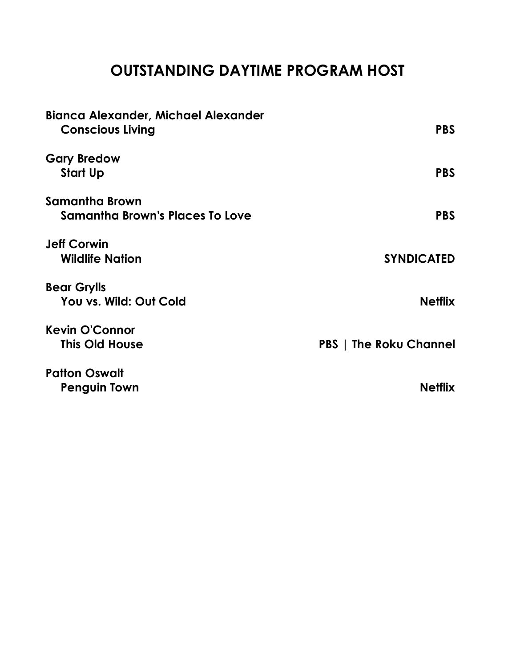# **OUTSTANDING DAYTIME PROGRAM HOST**

| <b>Bianca Alexander, Michael Alexander</b><br><b>Conscious Living</b> | <b>PBS</b>                    |
|-----------------------------------------------------------------------|-------------------------------|
| <b>Gary Bredow</b>                                                    | <b>PBS</b>                    |
| Start Up                                                              |                               |
| Samantha Brown                                                        |                               |
| Samantha Brown's Places To Love                                       | <b>PBS</b>                    |
| <b>Jeff Corwin</b>                                                    |                               |
| <b>Wildlife Nation</b>                                                | <b>SYNDICATED</b>             |
| <b>Bear Grylls</b>                                                    |                               |
| You vs. Wild: Out Cold                                                | <b>Netflix</b>                |
| <b>Kevin O'Connor</b>                                                 |                               |
| <b>This Old House</b>                                                 | <b>PBS</b>   The Roku Channel |
| <b>Patton Oswalt</b>                                                  |                               |
| <b>Penguin Town</b>                                                   | <b>Netflix</b>                |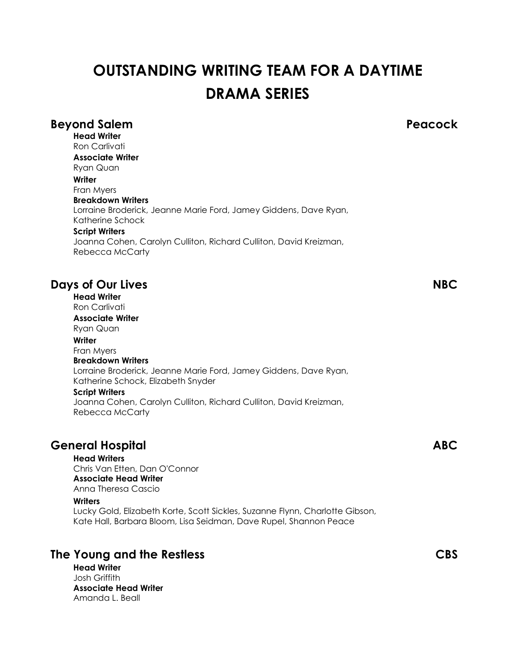# **OUTSTANDING WRITING TEAM FOR A DAYTIME DRAMA SERIES**

## **Beyond Salem Peacock Head Writer** Ron Carlivati **Associate Writer** Ryan Quan **Writer** Fran Myers **Breakdown Writers** Lorraine Broderick, Jeanne Marie Ford, Jamey Giddens, Dave Ryan, Katherine Schock **Script Writers** Joanna Cohen, Carolyn Culliton, Richard Culliton, David Kreizman, Rebecca McCarty **Days of Our Lives NBC Head Writer** Ron Carlivati **Associate Writer** Ryan Quan **Writer** Fran Myers **Breakdown Writers** Lorraine Broderick, Jeanne Marie Ford, Jamey Giddens, Dave Ryan, Katherine Schock, Elizabeth Snyder **Script Writers** Joanna Cohen, Carolyn Culliton, Richard Culliton, David Kreizman, Rebecca McCarty **General Hospital ABC**

**Head Writers**

Chris Van Etten, Dan O'Connor **Associate Head Writer** Anna Theresa Cascio

### **Writers**

Lucky Gold, Elizabeth Korte, Scott Sickles, Suzanne Flynn, Charlotte Gibson, Kate Hall, Barbara Bloom, Lisa Seidman, Dave Rupel, Shannon Peace

# **The Young and the Restless CBS**

**Head Writer** Josh Griffith **Associate Head Writer** Amanda L. Beall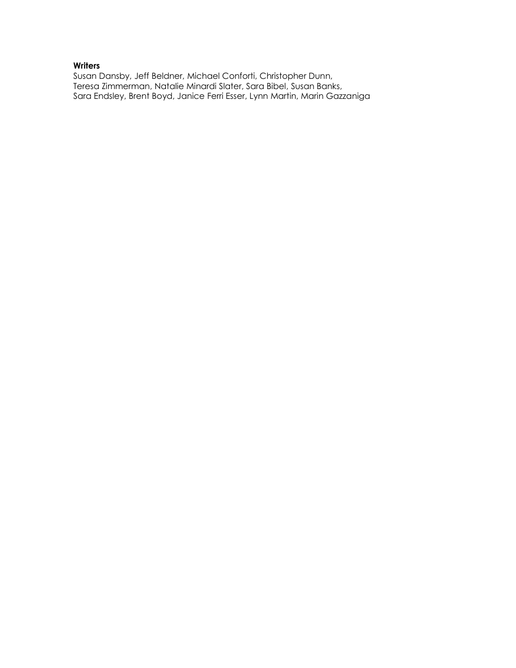### **Writers**

Susan Dansby, Jeff Beldner, Michael Conforti, Christopher Dunn, Teresa Zimmerman, Natalie Minardi Slater, Sara Bibel, Susan Banks, Sara Endsley, Brent Boyd, Janice Ferri Esser, Lynn Martin, Marin Gazzaniga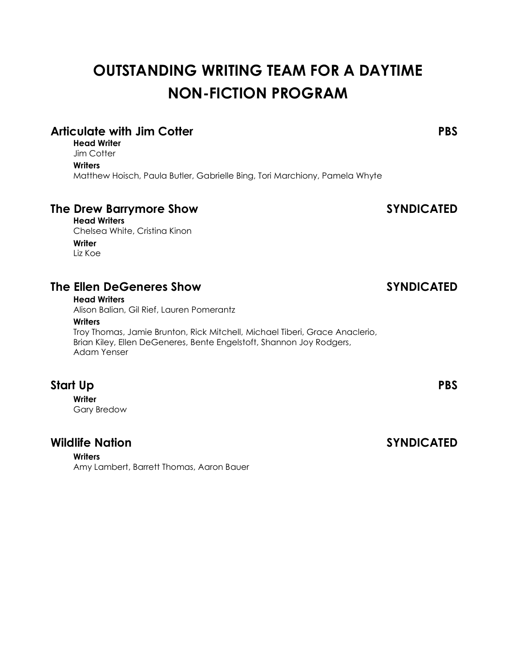# **OUTSTANDING WRITING TEAM FOR A DAYTIME NON-FICTION PROGRAM**

# **Articulate with Jim Cotter PBS**

**Head Writer Jim Cotter** 

**Writers**

Matthew Hoisch, Paula Butler, Gabrielle Bing, Tori Marchiony, Pamela Whyte

# **The Drew Barrymore Show SYNDICATED**

**Head Writers** Chelsea White, Cristina Kinon **Writer** Liz Koe

## **The Ellen DeGeneres Show SYNDICATED**

### **Head Writers**

Alison Balian, Gil Rief, Lauren Pomerantz

### **Writers**

Troy Thomas, Jamie Brunton, Rick Mitchell, Michael Tiberi, Grace Anaclerio, Brian Kiley, Ellen DeGeneres, Bente Engelstoft, Shannon Joy Rodgers, Adam Yenser

# **Start Up PBS**

**Writer** Gary Bredow

## **Wildlife Nation SYNDICATED**

**Writers** Amy Lambert, Barrett Thomas, Aaron Bauer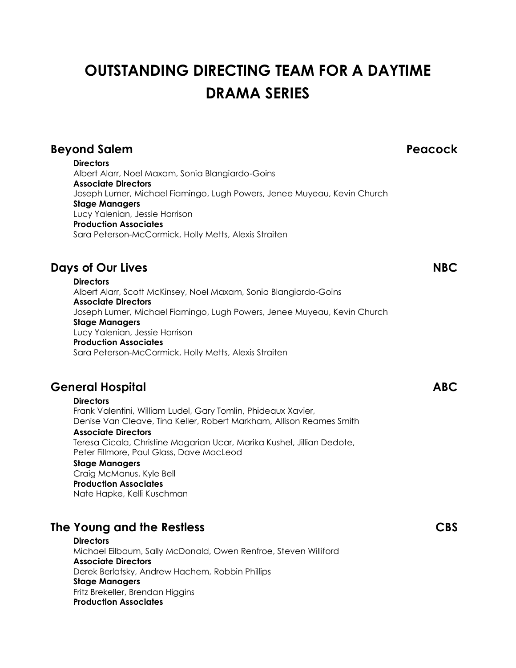# **OUTSTANDING DIRECTING TEAM FOR A DAYTIME DRAMA SERIES**

# **Beyond Salem Peacock**

**Directors** Albert Alarr, Noel Maxam, Sonia Blangiardo-Goins **Associate Directors** Joseph Lumer, Michael Fiamingo, Lugh Powers, Jenee Muyeau, Kevin Church **Stage Managers** Lucy Yalenian, Jessie Harrison **Production Associates** Sara Peterson-McCormick, Holly Metts, Alexis Straiten

# **Days of Our Lives NBC**

**Directors** Albert Alarr, Scott McKinsey, Noel Maxam, Sonia Blangiardo-Goins **Associate Directors** Joseph Lumer, Michael Fiamingo, Lugh Powers, Jenee Muyeau, Kevin Church **Stage Managers** Lucy Yalenian, Jessie Harrison **Production Associates** Sara Peterson-McCormick, Holly Metts, Alexis Straiten

# **General Hospital ABC**

**Directors** Frank Valentini, William Ludel, Gary Tomlin, Phideaux Xavier, Denise Van Cleave, Tina Keller, Robert Markham, Allison Reames Smith **Associate Directors**

Teresa Cicala, Christine Magarian Ucar, Marika Kushel, Jillian Dedote, Peter Fillmore, Paul Glass, Dave MacLeod

### **Stage Managers**

Craig McManus, Kyle Bell **Production Associates** Nate Hapke, Kelli Kuschman

# **The Young and the Restless CBS**

**Directors** Michael Eilbaum, Sally McDonald, Owen Renfroe, Steven Williford **Associate Directors** Derek Berlatsky, Andrew Hachem, Robbin Phillips **Stage Managers** Fritz Brekeller, Brendan Higgins **Production Associates**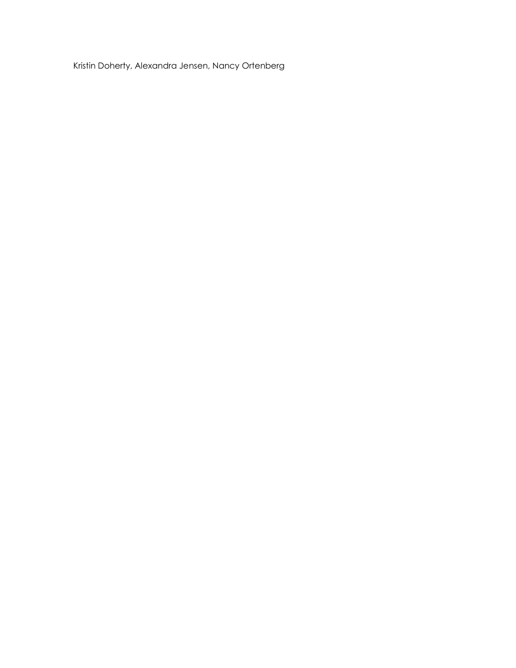Kristin Doherty, Alexandra Jensen, Nancy Ortenberg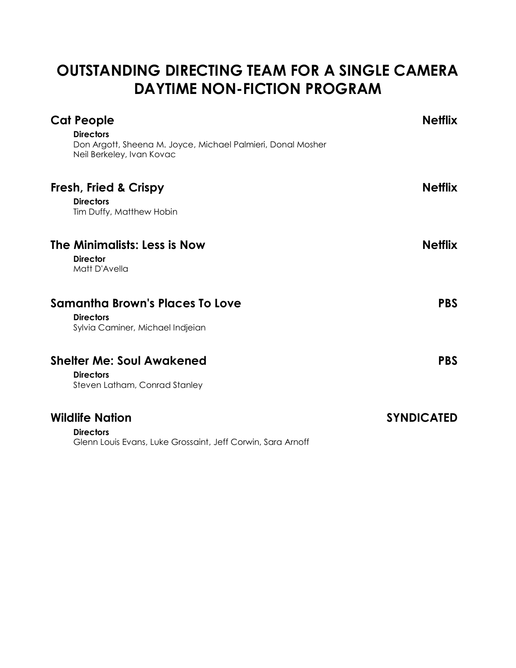# **OUTSTANDING DIRECTING TEAM FOR A SINGLE CAMERA DAYTIME NON-FICTION PROGRAM**

| <b>Cat People</b><br><b>Directors</b><br>Don Argott, Sheena M. Joyce, Michael Palmieri, Donal Mosher<br>Neil Berkeley, Ivan Kovac | <b>Netflix</b>    |
|-----------------------------------------------------------------------------------------------------------------------------------|-------------------|
| <b>Fresh, Fried &amp; Crispy</b><br><b>Directors</b><br>Tim Duffy, Matthew Hobin                                                  | <b>Netflix</b>    |
| The Minimalists: Less is Now<br><b>Director</b><br>Matt D'Avella                                                                  | <b>Netflix</b>    |
| <b>Samantha Brown's Places To Love</b><br><b>Directors</b><br>Sylvia Caminer, Michael Indjeian                                    | <b>PBS</b>        |
| <b>Shelter Me: Soul Awakened</b><br><b>Directors</b><br>Steven Latham, Conrad Stanley                                             | <b>PBS</b>        |
| <b>Wildlife Nation</b><br><b>Directors</b><br>Glenn Louis Evans, Luke Grossaint, Jeff Corwin, Sara Arnoff                         | <b>SYNDICATED</b> |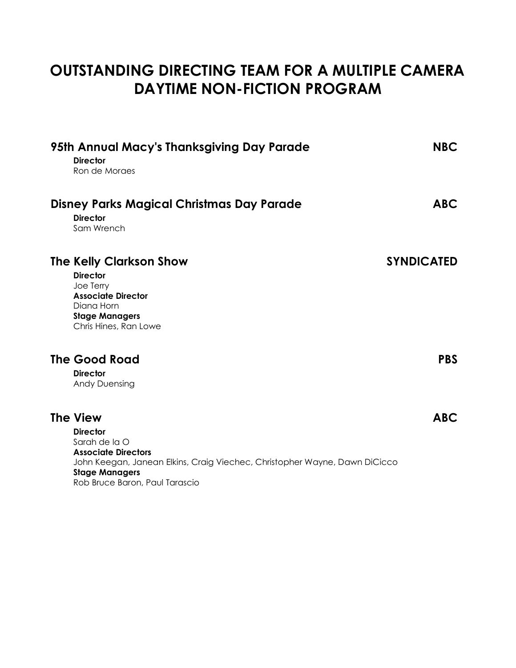# **OUTSTANDING DIRECTING TEAM FOR A MULTIPLE CAMERA DAYTIME NON-FICTION PROGRAM**

| 95th Annual Macy's Thanksgiving Day Parade<br><b>Director</b><br>Ron de Moraes                                                                                                                                             | <b>NBC</b>        |
|----------------------------------------------------------------------------------------------------------------------------------------------------------------------------------------------------------------------------|-------------------|
| <b>Disney Parks Magical Christmas Day Parade</b><br><b>Director</b><br>Sam Wrench                                                                                                                                          | <b>ABC</b>        |
| <b>The Kelly Clarkson Show</b><br><b>Director</b><br>Joe Terry<br><b>Associate Director</b><br>Diana Horn<br><b>Stage Managers</b><br>Chris Hines, Ran Lowe                                                                | <b>SYNDICATED</b> |
| <b>The Good Road</b><br><b>Director</b><br><b>Andy Duensing</b>                                                                                                                                                            | <b>PBS</b>        |
| <b>The View</b><br><b>Director</b><br>Sarah de la O<br><b>Associate Directors</b><br>John Keegan, Janean Elkins, Craig Viechec, Christopher Wayne, Dawn DiCicco<br><b>Stage Managers</b><br>Rob Bruce Baron, Paul Tarascio | <b>ABC</b>        |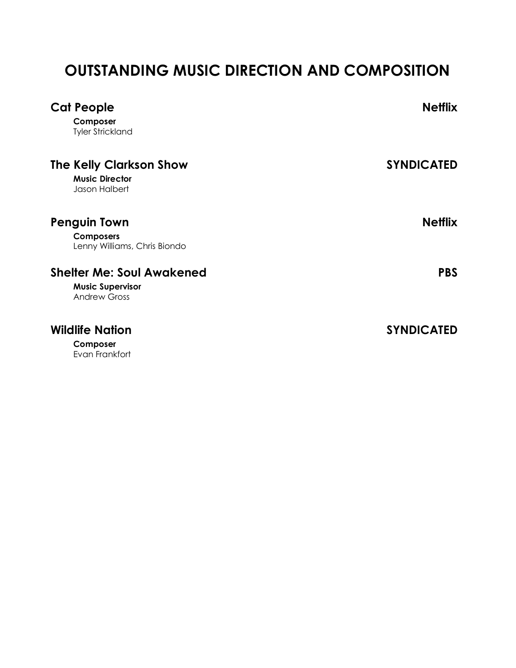# **OUTSTANDING MUSIC DIRECTION AND COMPOSITION**

| <b>Cat People</b><br>Composer<br><b>Tyler Strickland</b>                           | <b>Netflix</b>    |
|------------------------------------------------------------------------------------|-------------------|
| <b>The Kelly Clarkson Show</b><br><b>Music Director</b><br>Jason Halbert           | <b>SYNDICATED</b> |
| <b>Penguin Town</b><br><b>Composers</b><br>Lenny Williams, Chris Biondo            | <b>Netflix</b>    |
| <b>Shelter Me: Soul Awakened</b><br><b>Music Supervisor</b><br><b>Andrew Gross</b> | <b>PBS</b>        |
| <b>Wildlife Nation</b><br>Composer<br>Evan Frankfort                               | <b>SYNDICATED</b> |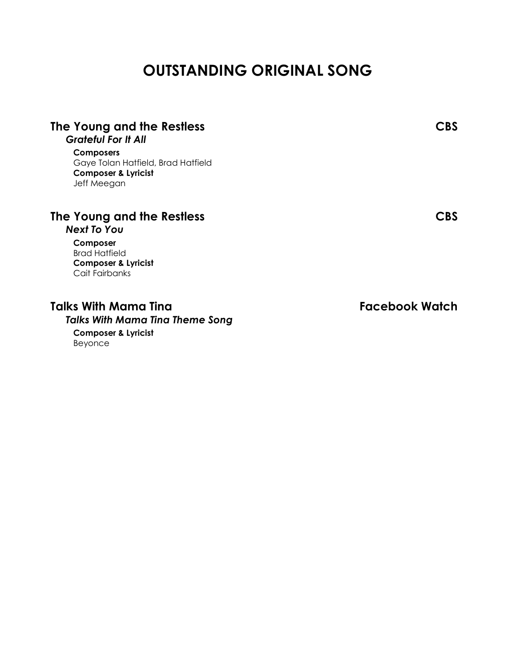# **OUTSTANDING ORIGINAL SONG**

| The Young and the Restless<br><b>Grateful For It All</b>                                                | <b>CBS</b>     |
|---------------------------------------------------------------------------------------------------------|----------------|
| <b>Composers</b><br>Gaye Tolan Hatfield, Brad Hatfield<br><b>Composer &amp; Lyricist</b><br>Jeff Meegan |                |
| The Young and the Restless<br><b>Next To You</b>                                                        | <b>CBS</b>     |
| Composer<br><b>Brad Hatfield</b><br><b>Composer &amp; Lyricist</b><br>Cait Fairbanks                    |                |
| Talks With Mama Tina<br><b>Talks With Mama Tina Theme Song</b><br>Composer & Lyricist                   | Facebook Watch |

Beyonce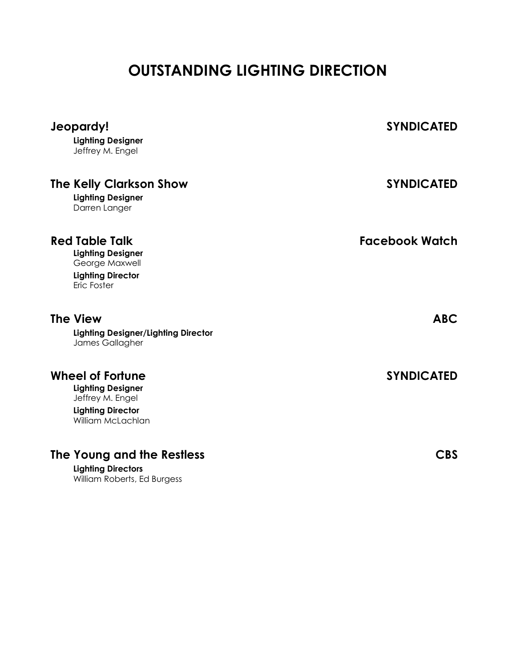# **OUTSTANDING LIGHTING DIRECTION**

| Jeopardy!<br><b>Lighting Designer</b><br>Jeffrey M. Engel                                                                | <b>SYNDICATED</b> |
|--------------------------------------------------------------------------------------------------------------------------|-------------------|
| <b>The Kelly Clarkson Show</b><br><b>Lighting Designer</b><br>Darren Langer                                              | <b>SYNDICATED</b> |
| <b>Red Table Talk</b><br><b>Lighting Designer</b><br>George Maxwell<br><b>Lighting Director</b><br>Eric Foster           | Facebook Watch    |
| <b>The View</b><br><b>Lighting Designer/Lighting Director</b><br>James Gallagher                                         | <b>ABC</b>        |
| <b>Wheel of Fortune</b><br><b>Lighting Designer</b><br>Jeffrey M. Engel<br><b>Lighting Director</b><br>William McLachlan | <b>SYNDICATED</b> |
| The Young and the Restless<br><b>Lighting Directors</b><br>William Roberts, Ed Burgess                                   | <b>CBS</b>        |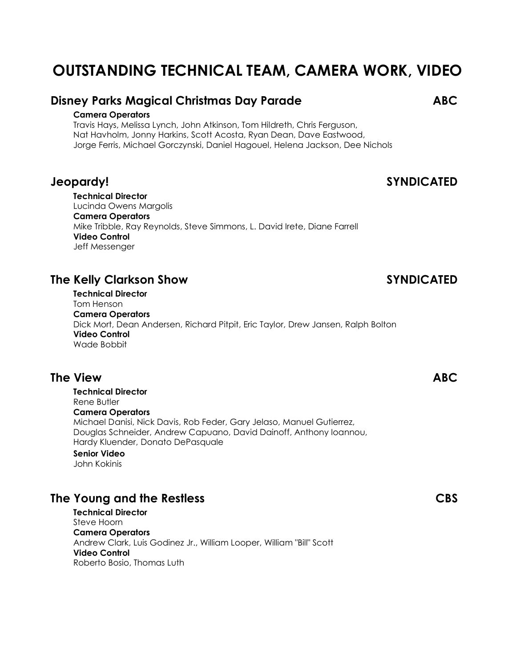# **OUTSTANDING TECHNICAL TEAM, CAMERA WORK, VIDEO**

## **Disney Parks Magical Christmas Day Parade ABC**

### **Camera Operators**

Travis Hays, Melissa Lynch, John Atkinson, Tom Hildreth, Chris Ferguson, Nat Havholm, Jonny Harkins, Scott Acosta, Ryan Dean, Dave Eastwood, Jorge Ferris, Michael Gorczynski, Daniel Hagouel, Helena Jackson, Dee Nichols

## **Jeopardy! SYNDICATED**

**Technical Director** Lucinda Owens Margolis **Camera Operators** Mike Tribble, Ray Reynolds, Steve Simmons, L. David Irete, Diane Farrell **Video Control** Jeff Messenger

# **The Kelly Clarkson Show SYNDICATED**

**Technical Director** Tom Henson **Camera Operators** Dick Mort, Dean Andersen, Richard Pitpit, Eric Taylor, Drew Jansen, Ralph Bolton **Video Control** Wade Bobbit

## **The View ABC**

**Technical Director** Rene Butler **Camera Operators** Michael Danisi, Nick Davis, Rob Feder, Gary Jelaso, Manuel Gutierrez, Douglas Schneider, Andrew Capuano, David Dainoff, Anthony Ioannou, Hardy Kluender, Donato DePasquale **Senior Video**

## John Kokinis

# **The Young and the Restless CBS**

**Technical Director** Steve Hoorn **Camera Operators** Andrew Clark, Luis Godinez Jr., William Looper, William "Bill" Scott **Video Control** Roberto Bosio, Thomas Luth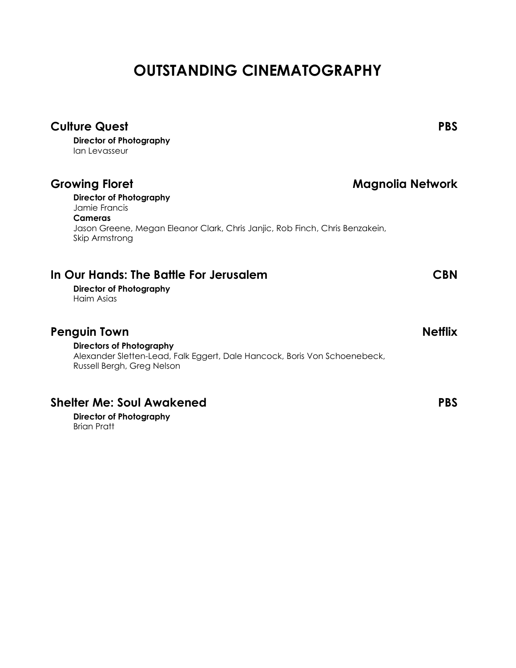# **OUTSTANDING CINEMATOGRAPHY**

| <b>Culture Quest</b>                                                                                                                       | <b>PBS</b>       |
|--------------------------------------------------------------------------------------------------------------------------------------------|------------------|
| <b>Director of Photography</b><br>lan Levasseur                                                                                            |                  |
| <b>Growing Floret</b>                                                                                                                      | Magnolia Network |
| <b>Director of Photography</b><br>Jamie Francis                                                                                            |                  |
| Cameras<br>Jason Greene, Megan Eleanor Clark, Chris Janjic, Rob Finch, Chris Benzakein,<br>Skip Armstrong                                  |                  |
| In Our Hands: The Battle For Jerusalem<br><b>Director of Photography</b><br>Haim Asias                                                     | CBN              |
| <b>Penguin Town</b>                                                                                                                        | <b>Netflix</b>   |
| <b>Directors of Photography</b><br>Alexander Sletten-Lead, Falk Eggert, Dale Hancock, Boris Von Schoenebeck,<br>Russell Bergh, Greg Nelson |                  |
| <b>Shelter Me: Soul Awakened</b>                                                                                                           | <b>PBS</b>       |
| <b>Director of Photography</b><br><b>Brian Pratt</b>                                                                                       |                  |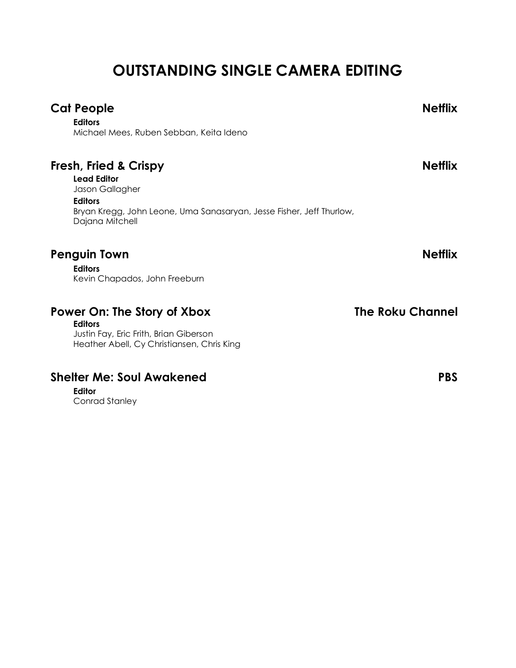# **OUTSTANDING SINGLE CAMERA EDITING**

# **Cat People Netflix Editors** Michael Mees, Ruben Sebban, Keita Ideno **Fresh, Fried & Crispy Netflix Lead Editor** Jason Gallagher **Editors** Bryan Kregg, John Leone, Uma Sanasaryan, Jesse Fisher, Jeff Thurlow, Dajana Mitchell

# **Penguin Town Netflix**

**Editors** Kevin Chapados, John Freeburn

# **Power On: The Story of Xbox The Roku Channel**

**Editors** Justin Fay, Eric Frith, Brian Giberson Heather Abell, Cy Christiansen, Chris King

# **Shelter Me: Soul Awakened PBS**

**Editor**

Conrad Stanley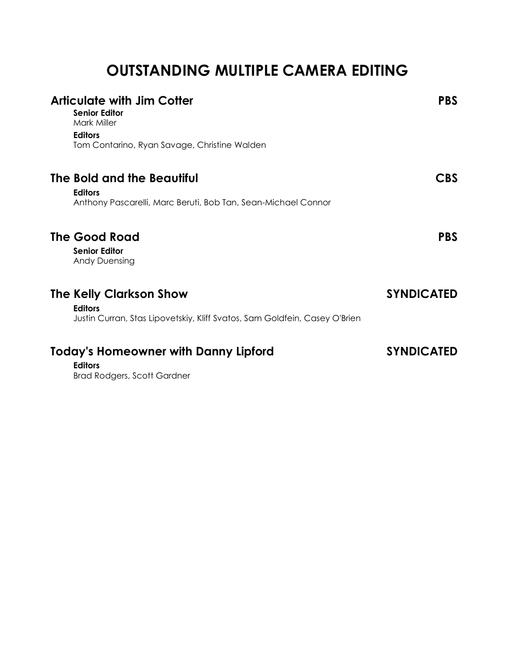# **OUTSTANDING MULTIPLE CAMERA EDITING**

| <b>Articulate with Jim Cotter</b><br><b>Senior Editor</b><br>Mark Miller<br><b>Editors</b><br>Tom Contarino, Ryan Savage, Christine Walden | <b>PBS</b>        |
|--------------------------------------------------------------------------------------------------------------------------------------------|-------------------|
| The Bold and the Beautiful<br><b>Editors</b><br>Anthony Pascarelli, Marc Beruti, Bob Tan, Sean-Michael Connor                              | <b>CBS</b>        |
| <b>The Good Road</b><br><b>Senior Editor</b><br><b>Andy Duensing</b>                                                                       | <b>PBS</b>        |
| <b>The Kelly Clarkson Show</b><br><b>Editors</b><br>Justin Curran, Stas Lipovetskiy, Kliff Svatos, Sam Goldfein, Casey O'Brien             | <b>SYNDICATED</b> |
| <b>Today's Homeowner with Danny Lipford</b><br><b>Editors</b><br><b>Brad Rodgers, Scott Gardner</b>                                        | <b>SYNDICATED</b> |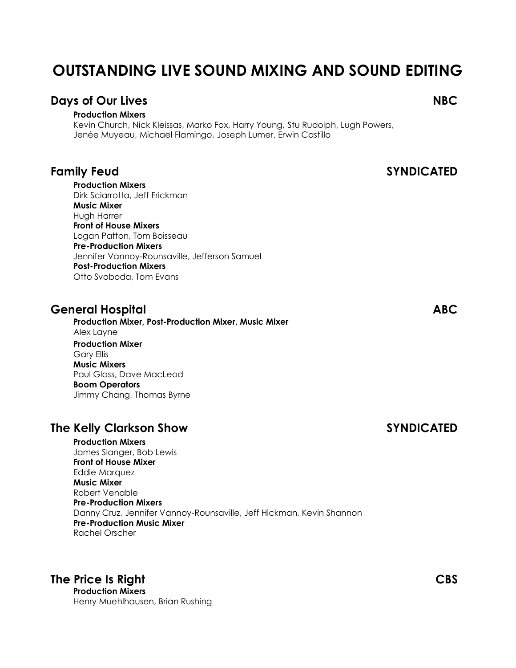# **OUTSTANDING LIVE SOUND MIXING AND SOUND EDITING**

## **Days of Our Lives NBC**

### **Production Mixers**

Kevin Church, Nick Kleissas, Marko Fox, Harry Young, Stu Rudolph, Lugh Powers, Jenée Muyeau, Michael Flamingo, Joseph Lumer, Erwin Castillo

**Production Mixers** Dirk Sciarrotta, Jeff Frickman **Music Mixer** Hugh Harrer **Front of House Mixers** Logan Patton, Tom Boisseau **Pre-Production Mixers** Jennifer Vannoy-Rounsaville, Jefferson Samuel **Post-Production Mixers** Otto Svoboda, Tom Evans

## **General Hospital ABC**

**Production Mixer, Post-Production Mixer, Music Mixer** Alex Layne **Production Mixer** Gary Ellis **Music Mixers** Paul Glass, Dave MacLeod **Boom Operators** Jimmy Chang, Thomas Byrne

# **The Kelly Clarkson Show SYNDICATED**

**Production Mixers** James Slanger, Bob Lewis **Front of House Mixer** Eddie Marquez **Music Mixer** Robert Venable **Pre-Production Mixers** Danny Cruz, Jennifer Vannoy-Rounsaville, Jeff Hickman, Kevin Shannon **Pre-Production Music Mixer** Rachel Orscher

# **The Price Is Right CBS**

**Production Mixers** Henry Muehlhausen, Brian Rushing

**Family Feud SYNDICATED**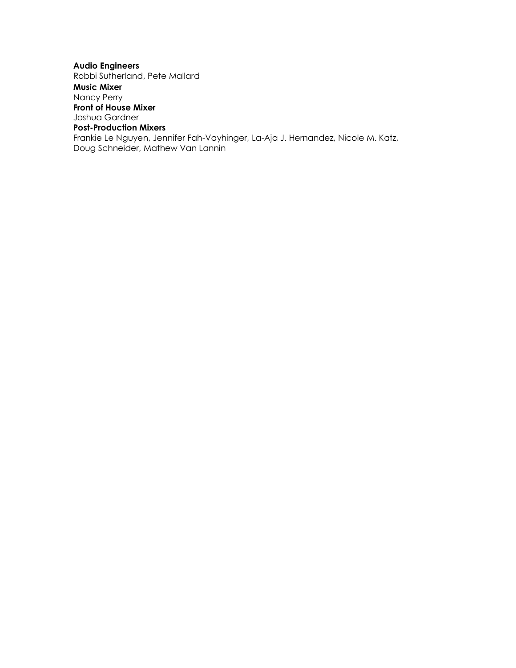### **Audio Engineers** Robbi Sutherland, Pete Mallard **Music Mixer** Nancy Perry **Front of House Mixer** Joshua Gardner **Post-Production Mixers** Frankie Le Nguyen, Jennifer Fah-Vayhinger, La-Aja J. Hernandez, Nicole M. Katz, Doug Schneider, Mathew Van Lannin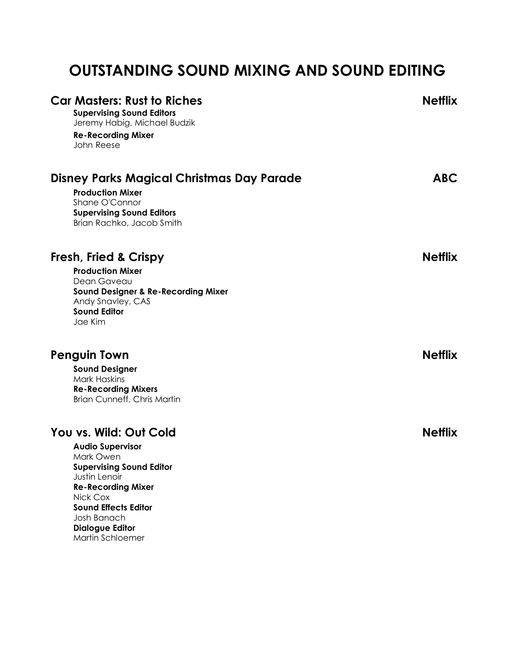# **OUTSTANDING SOUND MIXING AND SOUND EDITING**

| <b>Car Masters: Rust to Riches</b><br><b>Supervising Sound Editors</b><br>Jeremy Habig, Michael Budzik<br><b>Re-Recording Mixer</b><br>John Reese | <b>Netflix</b> |
|---------------------------------------------------------------------------------------------------------------------------------------------------|----------------|
| Disney Parks Magical Christmas Day Parade                                                                                                         | <b>ABC</b>     |
| <b>Production Mixer</b><br>Shane O'Connor<br><b>Supervising Sound Editors</b><br>Brian Rachko, Jacob Smith                                        |                |
| <b>Fresh, Fried &amp; Crispy</b>                                                                                                                  | <b>Netflix</b> |
| <b>Production Mixer</b>                                                                                                                           |                |
| Dean Gaveau<br><b>Sound Designer &amp; Re-Recording Mixer</b>                                                                                     |                |
| Andy Snavley, CAS                                                                                                                                 |                |
| <b>Sound Editor</b><br>Jae Kim                                                                                                                    |                |
| <b>Penguin Town</b>                                                                                                                               | <b>Netflix</b> |
| <b>Sound Designer</b>                                                                                                                             |                |
| <b>Mark Haskins</b><br><b>Re-Recording Mixers</b>                                                                                                 |                |
| <b>Brian Cunneff, Chris Martin</b>                                                                                                                |                |
| You vs. Wild: Out Cold                                                                                                                            | <b>Netflix</b> |
| <b>Audio Supervisor</b>                                                                                                                           |                |
| Mark Owen                                                                                                                                         |                |
| <b>Supervising Sound Editor</b><br>Justin Lenoir                                                                                                  |                |
| <b>Re-Recording Mixer</b>                                                                                                                         |                |
| Nick Cox<br><b>Sound Effects Editor</b>                                                                                                           |                |
| Josh Banach                                                                                                                                       |                |
| <b>Dialogue Editor</b>                                                                                                                            |                |
| Martin Schloemer                                                                                                                                  |                |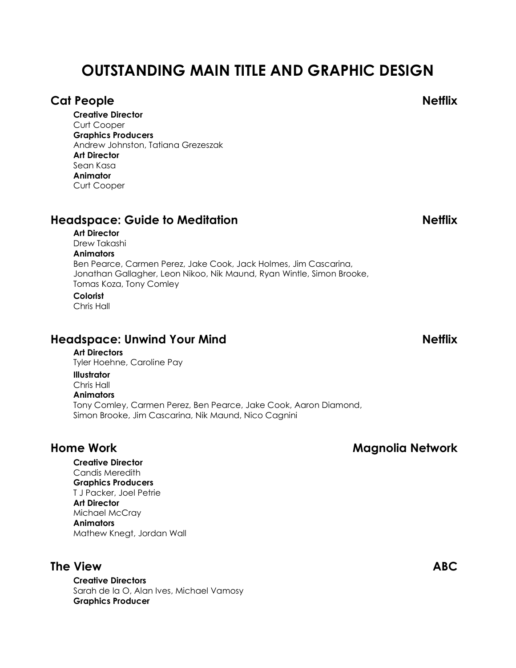# **OUTSTANDING MAIN TITLE AND GRAPHIC DESIGN**

## **Cat People Netflix**

**Creative Director** Curt Cooper **Graphics Producers** Andrew Johnston, Tatiana Grezeszak **Art Director** Sean Kasa **Animator** Curt Cooper

# **Headspace: Guide to Meditation Netflix**

## **Art Director**

Drew Takashi **Animators** Ben Pearce, Carmen Perez, Jake Cook, Jack Holmes, Jim Cascarina, Jonathan Gallagher, Leon Nikoo, Nik Maund, Ryan Wintle, Simon Brooke, Tomas Koza, Tony Comley

## **Colorist**

Chris Hall

# **Headspace: Unwind Your Mind Netflix**

### **Art Directors**

Tyler Hoehne, Caroline Pay

### **Illustrator**

Chris Hall

### **Animators**

Tony Comley, Carmen Perez, Ben Pearce, Jake Cook, Aaron Diamond, Simon Brooke, Jim Cascarina, Nik Maund, Nico Cagnini

### **Creative Director** Candis Meredith

**Graphics Producers** T J Packer, Joel Petrie **Art Director** Michael McCray **Animators** Mathew Knegt, Jordan Wall

# **The View ABC**

**Creative Directors** Sarah de la O, Alan Ives, Michael Vamosy **Graphics Producer**

# **Home Work Magnolia Network**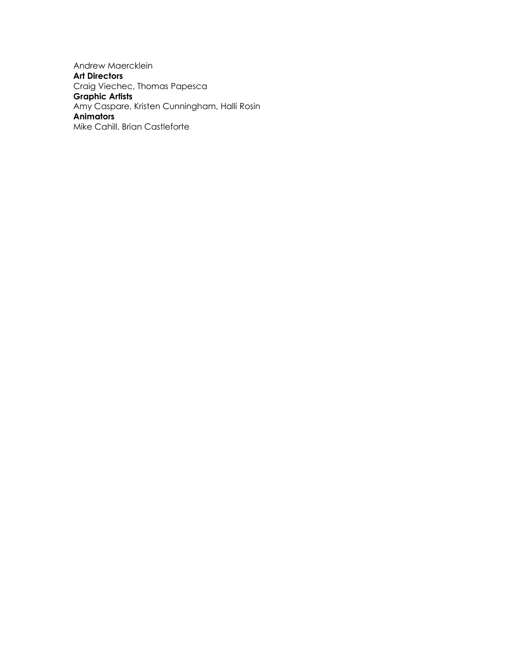Andrew Maercklein **Art Directors** Craig Viechec, Thomas Papesca **Graphic Artists** Amy Caspare, Kristen Cunningham, Halli Rosin **Animators** Mike Cahill, Brian Castleforte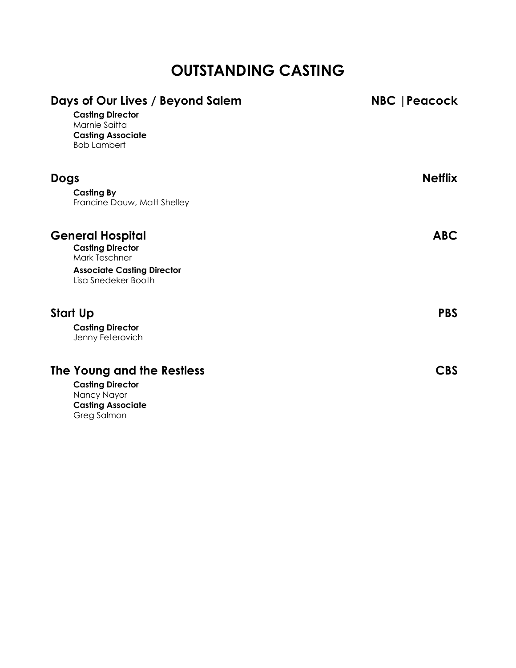# **OUTSTANDING CASTING**

| Days of Our Lives / Beyond Salem<br><b>Casting Director</b><br>Marnie Saitta<br><b>Casting Associate</b><br><b>Bob Lambert</b> | NBC   Peacock  |
|--------------------------------------------------------------------------------------------------------------------------------|----------------|
| <b>Dogs</b>                                                                                                                    | <b>Netflix</b> |
| <b>Casting By</b><br>Francine Dauw, Matt Shelley                                                                               |                |
| <b>General Hospital</b>                                                                                                        | <b>ABC</b>     |
| <b>Casting Director</b><br><b>Mark Teschner</b>                                                                                |                |
| <b>Associate Casting Director</b><br>Lisa Snedeker Booth                                                                       |                |
| Start Up                                                                                                                       | <b>PBS</b>     |
| <b>Casting Director</b><br>Jenny Feterovich                                                                                    |                |
| The Young and the Restless                                                                                                     | CBS            |
| <b>Casting Director</b><br>Nancy Nayor                                                                                         |                |
| <b>Casting Associate</b>                                                                                                       |                |

Greg Salmon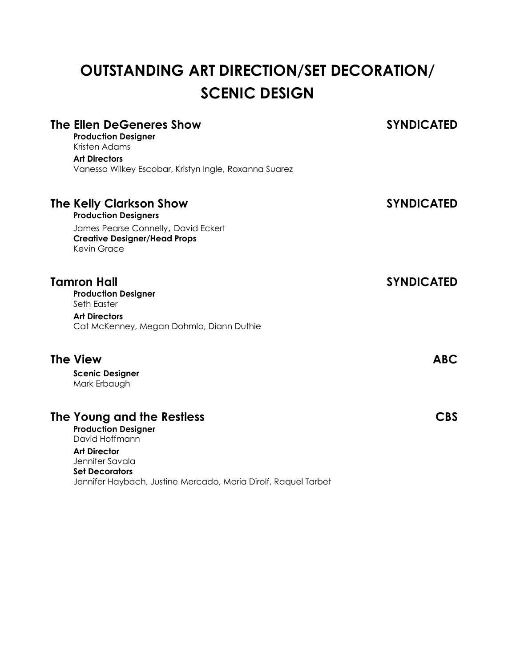# **OUTSTANDING ART DIRECTION/SET DECORATION/ SCENIC DESIGN**

| The Ellen DeGeneres Show<br><b>Production Designer</b><br>Kristen Adams                                                                                                                                         | <b>SYNDICATED</b> |
|-----------------------------------------------------------------------------------------------------------------------------------------------------------------------------------------------------------------|-------------------|
| <b>Art Directors</b><br>Vanessa Wilkey Escobar, Kristyn Ingle, Roxanna Suarez                                                                                                                                   |                   |
| The Kelly Clarkson Show<br><b>Production Designers</b><br>James Pearse Connelly, David Eckert<br><b>Creative Designer/Head Props</b><br><b>Kevin Grace</b>                                                      | <b>SYNDICATED</b> |
| <b>Tamron Hall</b><br><b>Production Designer</b><br>Seth Easter<br><b>Art Directors</b><br>Cat McKenney, Megan Dohmlo, Diann Duthie                                                                             | <b>SYNDICATED</b> |
| <b>The View</b><br><b>Scenic Designer</b><br>Mark Erbaugh                                                                                                                                                       | <b>ABC</b>        |
| The Young and the Restless<br><b>Production Designer</b><br>David Hoffmann<br><b>Art Director</b><br>Jennifer Savala<br><b>Set Decorators</b><br>Jennifer Haybach, Justine Mercado, Maria Dirolf, Raquel Tarbet | <b>CBS</b>        |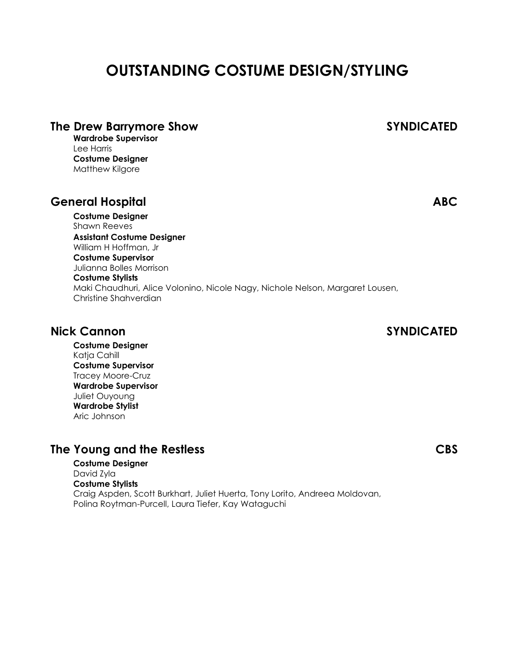# **OUTSTANDING COSTUME DESIGN/STYLING**

## **The Drew Barrymore Show SYNDICATED**

**Wardrobe Supervisor** Lee Harris **Costume Designer** Matthew Kilgore

## **General Hospital ABC**

**Costume Designer** Shawn Reeves **Assistant Costume Designer** William H Hoffman, Jr **Costume Supervisor** Julianna Bolles Morrison **Costume Stylists** Maki Chaudhuri, Alice Volonino, Nicole Nagy, Nichole Nelson, Margaret Lousen, Christine Shahverdian

## **Nick Cannon SYNDICATED**

**Costume Designer** Katja Cahill **Costume Supervisor** Tracey Moore-Cruz **Wardrobe Supervisor** Juliet Ouyoung **Wardrobe Stylist** Aric Johnson

# **The Young and the Restless CBS**

**Costume Designer** David Zyla **Costume Stylists** Craig Aspden, Scott Burkhart, Juliet Huerta, Tony Lorito, Andreea Moldovan, Polina Roytman-Purcell, Laura Tiefer, Kay Wataguchi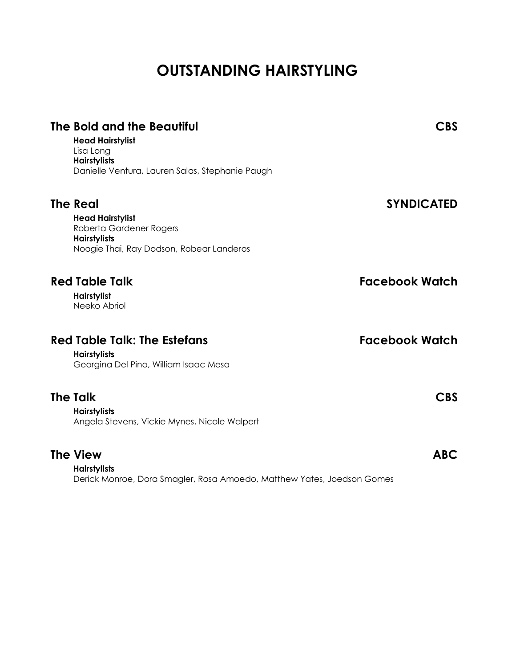# **OUTSTANDING HAIRSTYLING**

| The Bold and the Beautiful<br><b>Head Hairstylist</b><br>Lisa Long<br><b>Hairstylists</b><br>Danielle Ventura, Lauren Salas, Stephanie Paugh | <b>CBS</b>            |
|----------------------------------------------------------------------------------------------------------------------------------------------|-----------------------|
| <b>The Real</b><br><b>Head Hairstylist</b><br>Roberta Gardener Rogers<br><b>Hairstylists</b><br>Noogie Thai, Ray Dodson, Robear Landeros     | <b>SYNDICATED</b>     |
| <b>Red Table Talk</b><br><b>Hairstylist</b><br>Neeko Abriol                                                                                  | <b>Facebook Watch</b> |
| <b>Red Table Talk: The Estefans</b><br><b>Hairstylists</b><br>Georgina Del Pino, William Isaac Mesa                                          | <b>Facebook Watch</b> |
| <b>The Talk</b><br><b>Hairstylists</b><br>Angela Stevens, Vickie Mynes, Nicole Walpert                                                       | <b>CBS</b>            |
| <b>The View</b><br><b>Hairstylists</b><br>Derick Monroe, Dora Smagler, Rosa Amoedo, Matthew Yates, Joedson Gomes                             | <b>ABC</b>            |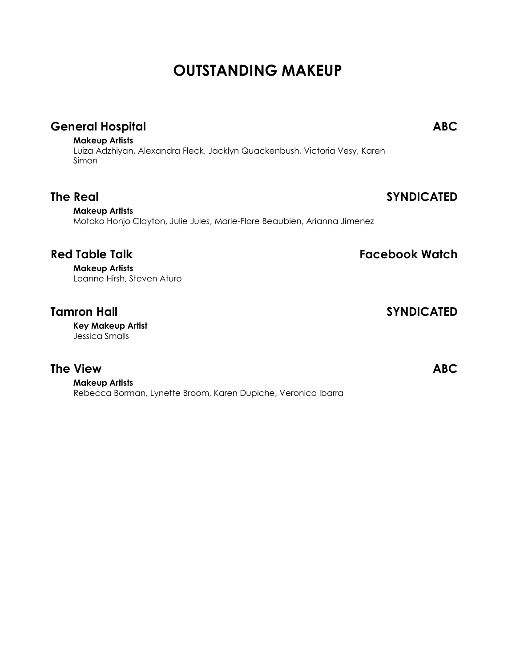# **OUTSTANDING MAKEUP**

# **General Hospital ABC**

### **Makeup Artists**

Luiza Adzhiyan, Alexandra Fleck, Jacklyn Quackenbush, Victoria Vesy, Karen Simon

**The Real SYNDICATED**

## **Makeup Artists**

Motoko Honjo Clayton, Julie Jules, Marie-Flore Beaubien, Arianna Jimenez

# **Red Table Talk Facebook Watch**

**Makeup Artists** Leanne Hirsh, Steven Aturo

# **Tamron Hall SYNDICATED**

**Key Makeup Artist** Jessica Smalls

# **The View ABC**

**Makeup Artists** Rebecca Borman, Lynette Broom, Karen Dupiche, Veronica Ibarra